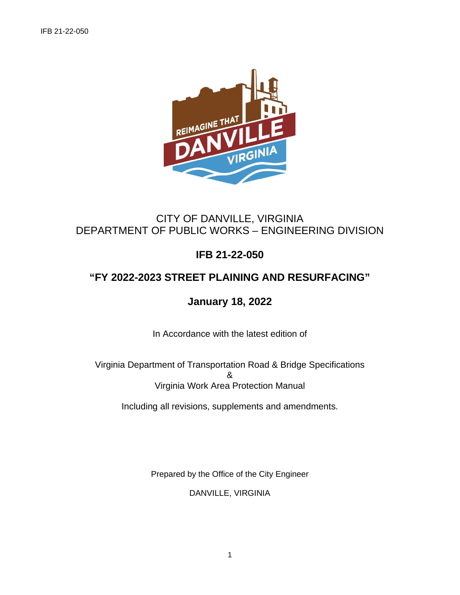

## CITY OF DANVILLE, VIRGINIA DEPARTMENT OF PUBLIC WORKS – ENGINEERING DIVISION

## **IFB 21-22-050**

## **"FY 2022-2023 STREET PLAINING AND RESURFACING"**

## **January 18, 2022**

In Accordance with the latest edition of

Virginia Department of Transportation Road & Bridge Specifications & Virginia Work Area Protection Manual

Including all revisions, supplements and amendments.

Prepared by the Office of the City Engineer

DANVILLE, VIRGINIA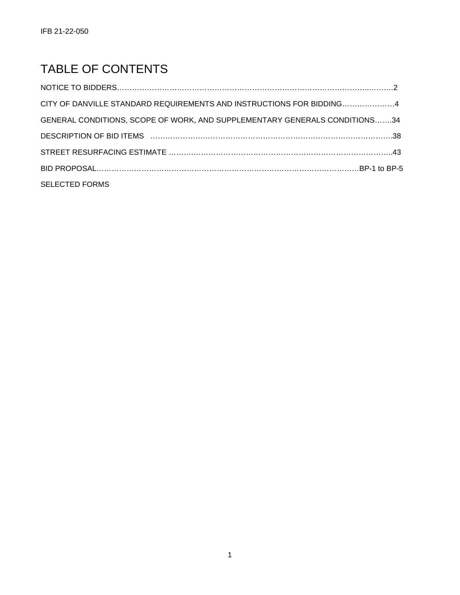## TABLE OF CONTENTS

| CITY OF DANVILLE STANDARD REQUIREMENTS AND INSTRUCTIONS FOR BIDDING4       |  |
|----------------------------------------------------------------------------|--|
| GENERAL CONDITIONS, SCOPE OF WORK, AND SUPPLEMENTARY GENERALS CONDITIONS34 |  |
|                                                                            |  |
|                                                                            |  |
|                                                                            |  |
| <b>SELECTED FORMS</b>                                                      |  |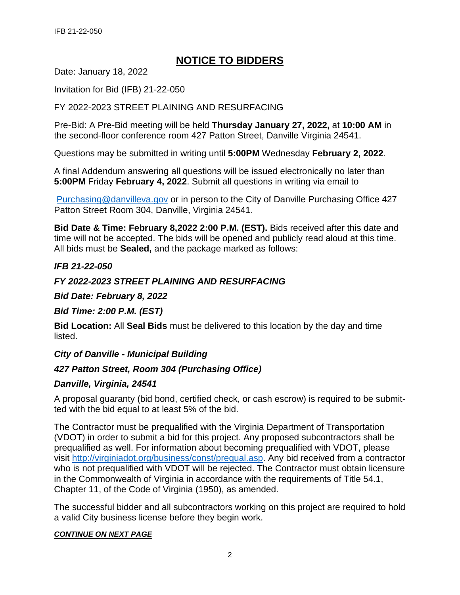## **NOTICE TO BIDDERS**

Date: January 18, 2022

Invitation for Bid (IFB) 21-22-050

FY 2022-2023 STREET PLAINING AND RESURFACING

Pre-Bid: A Pre-Bid meeting will be held **Thursday January 27, 2022,** at **10:00 AM** in the second-floor conference room 427 Patton Street, Danville Virginia 24541.

Questions may be submitted in writing until **5:00PM** Wednesday **February 2, 2022**.

A final Addendum answering all questions will be issued electronically no later than **5:00PM** Friday **February 4, 2022**. Submit all questions in writing via email to

[Purchasing@danvilleva.gov](mailto:Purchasing@danvilleva.gov) or in person to the City of Danville Purchasing Office 427 Patton Street Room 304, Danville, Virginia 24541.

**Bid Date & Time: February 8,2022 2:00 P.M. (EST).** Bids received after this date and time will not be accepted. The bids will be opened and publicly read aloud at this time. All bids must be **Sealed,** and the package marked as follows:

#### *IFB 21-22-050*

#### *FY 2022-2023 STREET PLAINING AND RESURFACING*

*Bid Date: February 8, 2022*

*Bid Time: 2:00 P.M. (EST)*

**Bid Location:** All **Seal Bids** must be delivered to this location by the day and time listed.

*City of Danville - Municipal Building* 

#### *427 Patton Street, Room 304 (Purchasing Office)*

#### *Danville, Virginia, 24541*

A proposal guaranty (bid bond, certified check, or cash escrow) is required to be submitted with the bid equal to at least 5% of the bid.

The Contractor must be prequalified with the Virginia Department of Transportation (VDOT) in order to submit a bid for this project. Any proposed subcontractors shall be prequalified as well. For information about becoming prequalified with VDOT, please visit [http://virginiadot.org/business/const/prequal.asp.](http://virginiadot.org/business/const/prequal.asp) Any bid received from a contractor who is not prequalified with VDOT will be rejected. The Contractor must obtain licensure in the Commonwealth of Virginia in accordance with the requirements of Title 54.1, Chapter 11, of the Code of Virginia (1950), as amended.

The successful bidder and all subcontractors working on this project are required to hold a valid City business license before they begin work.

#### *CONTINUE ON NEXT PAGE*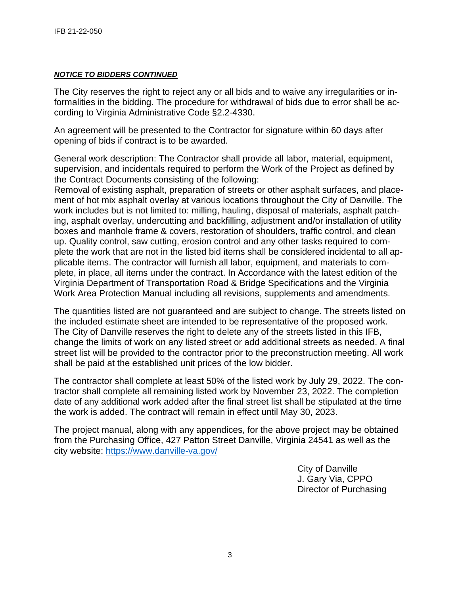#### *NOTICE TO BIDDERS CONTINUED*

The City reserves the right to reject any or all bids and to waive any irregularities or informalities in the bidding. The procedure for withdrawal of bids due to error shall be according to Virginia Administrative Code §2.2-4330.

An agreement will be presented to the Contractor for signature within 60 days after opening of bids if contract is to be awarded.

General work description: The Contractor shall provide all labor, material, equipment, supervision, and incidentals required to perform the Work of the Project as defined by the Contract Documents consisting of the following:

Removal of existing asphalt, preparation of streets or other asphalt surfaces, and placement of hot mix asphalt overlay at various locations throughout the City of Danville. The work includes but is not limited to: milling, hauling, disposal of materials, asphalt patching, asphalt overlay, undercutting and backfilling, adjustment and/or installation of utility boxes and manhole frame & covers, restoration of shoulders, traffic control, and clean up. Quality control, saw cutting, erosion control and any other tasks required to complete the work that are not in the listed bid items shall be considered incidental to all applicable items. The contractor will furnish all labor, equipment, and materials to complete, in place, all items under the contract. In Accordance with the latest edition of the Virginia Department of Transportation Road & Bridge Specifications and the Virginia Work Area Protection Manual including all revisions, supplements and amendments.

The quantities listed are not guaranteed and are subject to change. The streets listed on the included estimate sheet are intended to be representative of the proposed work. The City of Danville reserves the right to delete any of the streets listed in this IFB, change the limits of work on any listed street or add additional streets as needed. A final street list will be provided to the contractor prior to the preconstruction meeting. All work shall be paid at the established unit prices of the low bidder.

The contractor shall complete at least 50% of the listed work by July 29, 2022. The contractor shall complete all remaining listed work by November 23, 2022. The completion date of any additional work added after the final street list shall be stipulated at the time the work is added. The contract will remain in effect until May 30, 2023.

The project manual, along with any appendices, for the above project may be obtained from the Purchasing Office, 427 Patton Street Danville, Virginia 24541 as well as the city website:<https://www.danville-va.gov/>

> City of Danville J. Gary Via, CPPO Director of Purchasing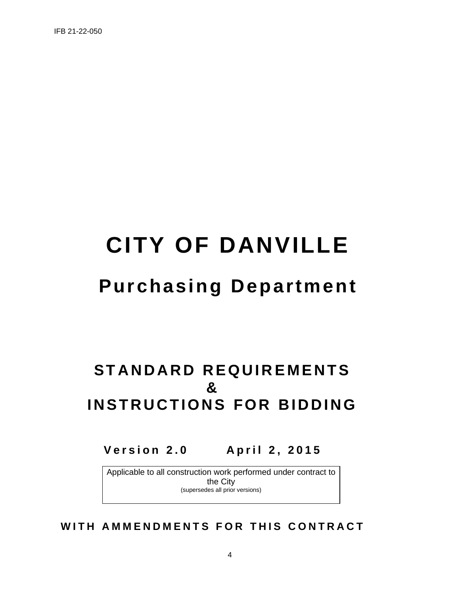# **CITY OF DANVILLE**

## **Purchasing Department**

## **STANDARD REQUIREMENTS & INSTRUCTIONS FOR BIDDING**

**Version 2.0 April 2, 2015**

Applicable to all construction work performed under contract to the City (supersedes all prior versions)

WITH AMMENDMENTS FOR THIS CONTRACT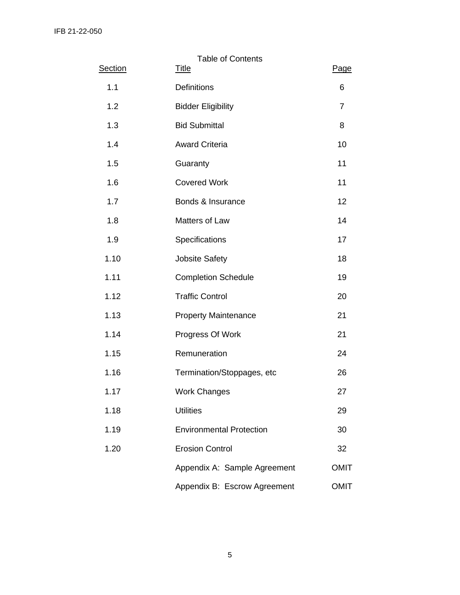| <b>Section</b> | <b>Table of Contents</b><br><b>Title</b> | Page        |
|----------------|------------------------------------------|-------------|
| 1.1            | Definitions                              | 6           |
| 1.2            | <b>Bidder Eligibility</b>                | 7           |
| 1.3            | <b>Bid Submittal</b>                     | 8           |
| 1.4            | <b>Award Criteria</b>                    | 10          |
| 1.5            | Guaranty                                 | 11          |
| 1.6            | <b>Covered Work</b>                      | 11          |
| 1.7            | Bonds & Insurance                        | 12          |
| 1.8            | Matters of Law                           | 14          |
| 1.9            | Specifications                           | 17          |
| 1.10           | <b>Jobsite Safety</b>                    | 18          |
| 1.11           | <b>Completion Schedule</b>               | 19          |
| 1.12           | <b>Traffic Control</b>                   | 20          |
| 1.13           | <b>Property Maintenance</b>              | 21          |
| 1.14           | Progress Of Work                         | 21          |
| 1.15           | Remuneration                             | 24          |
| 1.16           | Termination/Stoppages, etc               | 26          |
| 1.17           | <b>Work Changes</b>                      | 27          |
| 1.18           | <b>Utilities</b>                         | 29          |
| 1.19           | <b>Environmental Protection</b>          | 30          |
| 1.20           | <b>Erosion Control</b>                   | 32          |
|                | Appendix A: Sample Agreement             | <b>OMIT</b> |
|                | Appendix B: Escrow Agreement             | <b>OMIT</b> |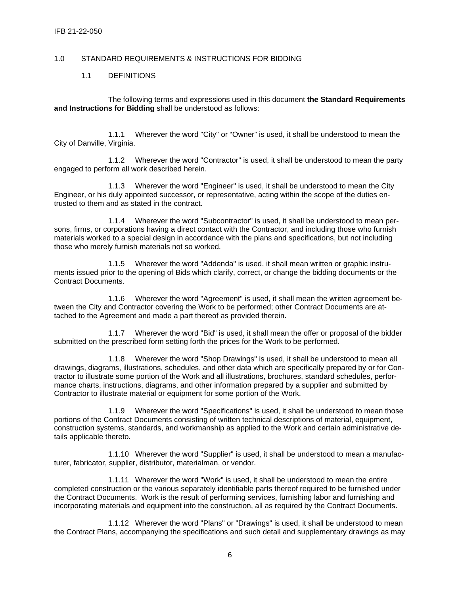#### 1.0 STANDARD REQUIREMENTS & INSTRUCTIONS FOR BIDDING

#### 1.1 DEFINITIONS

The following terms and expressions used in this document **the Standard Requirements and Instructions for Bidding** shall be understood as follows:

1.1.1 Wherever the word "City" or "Owner" is used, it shall be understood to mean the City of Danville, Virginia.

1.1.2 Wherever the word "Contractor" is used, it shall be understood to mean the party engaged to perform all work described herein.

1.1.3 Wherever the word "Engineer" is used, it shall be understood to mean the City Engineer, or his duly appointed successor, or representative, acting within the scope of the duties entrusted to them and as stated in the contract.

1.1.4 Wherever the word "Subcontractor" is used, it shall be understood to mean persons, firms, or corporations having a direct contact with the Contractor, and including those who furnish materials worked to a special design in accordance with the plans and specifications, but not including those who merely furnish materials not so worked.

1.1.5 Wherever the word "Addenda" is used, it shall mean written or graphic instruments issued prior to the opening of Bids which clarify, correct, or change the bidding documents or the Contract Documents.

1.1.6 Wherever the word "Agreement" is used, it shall mean the written agreement between the City and Contractor covering the Work to be performed; other Contract Documents are attached to the Agreement and made a part thereof as provided therein.

1.1.7 Wherever the word "Bid" is used, it shall mean the offer or proposal of the bidder submitted on the prescribed form setting forth the prices for the Work to be performed.

1.1.8 Wherever the word "Shop Drawings" is used, it shall be understood to mean all drawings, diagrams, illustrations, schedules, and other data which are specifically prepared by or for Contractor to illustrate some portion of the Work and all illustrations, brochures, standard schedules, performance charts, instructions, diagrams, and other information prepared by a supplier and submitted by Contractor to illustrate material or equipment for some portion of the Work.

1.1.9 Wherever the word "Specifications" is used, it shall be understood to mean those portions of the Contract Documents consisting of written technical descriptions of material, equipment, construction systems, standards, and workmanship as applied to the Work and certain administrative details applicable thereto.

1.1.10 Wherever the word "Supplier" is used, it shall be understood to mean a manufacturer, fabricator, supplier, distributor, materialman, or vendor.

1.1.11 Wherever the word "Work" is used, it shall be understood to mean the entire completed construction or the various separately identifiable parts thereof required to be furnished under the Contract Documents. Work is the result of performing services, furnishing labor and furnishing and incorporating materials and equipment into the construction, all as required by the Contract Documents.

1.1.12 Wherever the word "Plans" or "Drawings" is used, it shall be understood to mean the Contract Plans, accompanying the specifications and such detail and supplementary drawings as may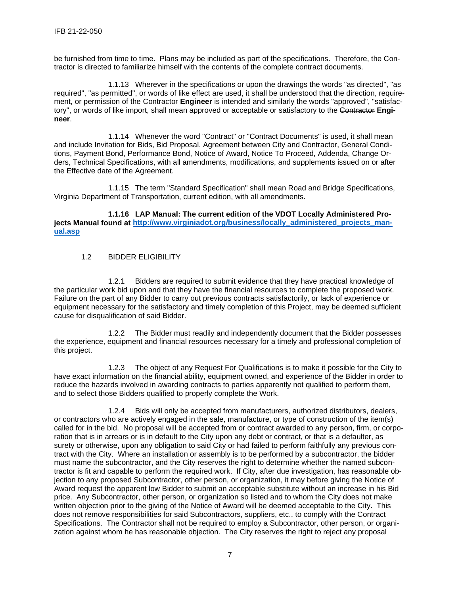be furnished from time to time. Plans may be included as part of the specifications. Therefore, the Contractor is directed to familiarize himself with the contents of the complete contract documents.

1.1.13 Wherever in the specifications or upon the drawings the words "as directed", "as required", "as permitted", or words of like effect are used, it shall be understood that the direction, requirement, or permission of the Contractor **Engineer** is intended and similarly the words "approved", "satisfactory", or words of like import, shall mean approved or acceptable or satisfactory to the Contractor **Engineer**.

1.1.14 Whenever the word "Contract" or "Contract Documents" is used, it shall mean and include Invitation for Bids, Bid Proposal, Agreement between City and Contractor, General Conditions, Payment Bond, Performance Bond, Notice of Award, Notice To Proceed, Addenda, Change Orders, Technical Specifications, with all amendments, modifications, and supplements issued on or after the Effective date of the Agreement.

1.1.15 The term "Standard Specification" shall mean Road and Bridge Specifications, Virginia Department of Transportation, current edition, with all amendments.

 **1.1.16 LAP Manual: The current edition of the VDOT Locally Administered Projects Manual found at [http://www.virginiadot.org/business/locally\\_administered\\_projects\\_man](http://www.virginiadot.org/business/locally_administered_projects_manual.asp)[ual.asp](http://www.virginiadot.org/business/locally_administered_projects_manual.asp)**

#### 1.2 BIDDER ELIGIBILITY

1.2.1 Bidders are required to submit evidence that they have practical knowledge of the particular work bid upon and that they have the financial resources to complete the proposed work. Failure on the part of any Bidder to carry out previous contracts satisfactorily, or lack of experience or equipment necessary for the satisfactory and timely completion of this Project, may be deemed sufficient cause for disqualification of said Bidder.

1.2.2 The Bidder must readily and independently document that the Bidder possesses the experience, equipment and financial resources necessary for a timely and professional completion of this project.

1.2.3 The object of any Request For Qualifications is to make it possible for the City to have exact information on the financial ability, equipment owned, and experience of the Bidder in order to reduce the hazards involved in awarding contracts to parties apparently not qualified to perform them, and to select those Bidders qualified to properly complete the Work.

1.2.4 Bids will only be accepted from manufacturers, authorized distributors, dealers, or contractors who are actively engaged in the sale, manufacture, or type of construction of the item(s) called for in the bid. No proposal will be accepted from or contract awarded to any person, firm, or corporation that is in arrears or is in default to the City upon any debt or contract, or that is a defaulter, as surety or otherwise, upon any obligation to said City or had failed to perform faithfully any previous contract with the City. Where an installation or assembly is to be performed by a subcontractor, the bidder must name the subcontractor, and the City reserves the right to determine whether the named subcontractor is fit and capable to perform the required work. If City, after due investigation, has reasonable objection to any proposed Subcontractor, other person, or organization, it may before giving the Notice of Award request the apparent low Bidder to submit an acceptable substitute without an increase in his Bid price. Any Subcontractor, other person, or organization so listed and to whom the City does not make written objection prior to the giving of the Notice of Award will be deemed acceptable to the City. This does not remove responsibilities for said Subcontractors, suppliers, etc., to comply with the Contract Specifications. The Contractor shall not be required to employ a Subcontractor, other person, or organization against whom he has reasonable objection. The City reserves the right to reject any proposal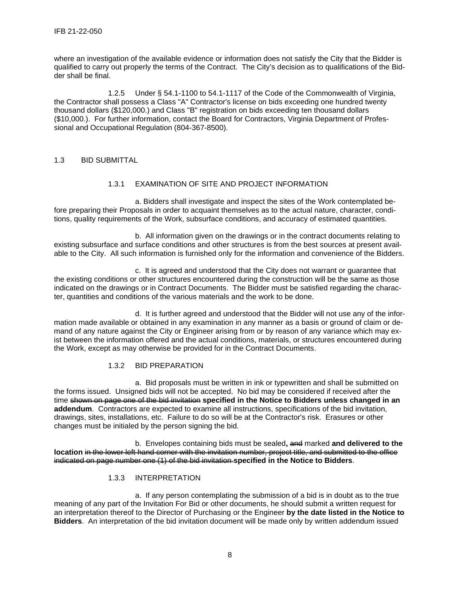where an investigation of the available evidence or information does not satisfy the City that the Bidder is qualified to carry out properly the terms of the Contract. The City's decision as to qualifications of the Bidder shall be final.

1.2.5 Under § 54.1-1100 to 54.1-1117 of the Code of the Commonwealth of Virginia, the Contractor shall possess a Class "A" Contractor's license on bids exceeding one hundred twenty thousand dollars (\$120,000.) and Class "B" registration on bids exceeding ten thousand dollars (\$10,000.). For further information, contact the Board for Contractors, Virginia Department of Professional and Occupational Regulation (804-367-8500).

#### 1.3 BID SUBMITTAL

#### 1.3.1 EXAMINATION OF SITE AND PROJECT INFORMATION

a. Bidders shall investigate and inspect the sites of the Work contemplated before preparing their Proposals in order to acquaint themselves as to the actual nature, character, conditions, quality requirements of the Work, subsurface conditions, and accuracy of estimated quantities.

b. All information given on the drawings or in the contract documents relating to existing subsurface and surface conditions and other structures is from the best sources at present available to the City. All such information is furnished only for the information and convenience of the Bidders.

c. It is agreed and understood that the City does not warrant or guarantee that the existing conditions or other structures encountered during the construction will be the same as those indicated on the drawings or in Contract Documents. The Bidder must be satisfied regarding the character, quantities and conditions of the various materials and the work to be done.

d. It is further agreed and understood that the Bidder will not use any of the information made available or obtained in any examination in any manner as a basis or ground of claim or demand of any nature against the City or Engineer arising from or by reason of any variance which may exist between the information offered and the actual conditions, materials, or structures encountered during the Work, except as may otherwise be provided for in the Contract Documents.

#### 1.3.2 BID PREPARATION

a. Bid proposals must be written in ink or typewritten and shall be submitted on the forms issued. Unsigned bids will not be accepted. No bid may be considered if received after the time shown on page one of the bid invitation specified in the Notice to Bidders unless changed in an **addendum**. Contractors are expected to examine all instructions, specifications of the bid invitation, drawings, sites, installations, etc. Failure to do so will be at the Contractor's risk. Erasures or other changes must be initialed by the person signing the bid.

b. Envelopes containing bids must be sealed**,** and marked **and delivered to the location** in the lower left hand corner with the invitation number, project title, and submitted to the office indicated on page number one (1) of the bid invitation **specified in the Notice to Bidders**.

#### 1.3.3 INTERPRETATION

a. If any person contemplating the submission of a bid is in doubt as to the true meaning of any part of the Invitation For Bid or other documents, he should submit a written request for an interpretation thereof to the Director of Purchasing or the Engineer **by the date listed in the Notice to Bidders**. An interpretation of the bid invitation document will be made only by written addendum issued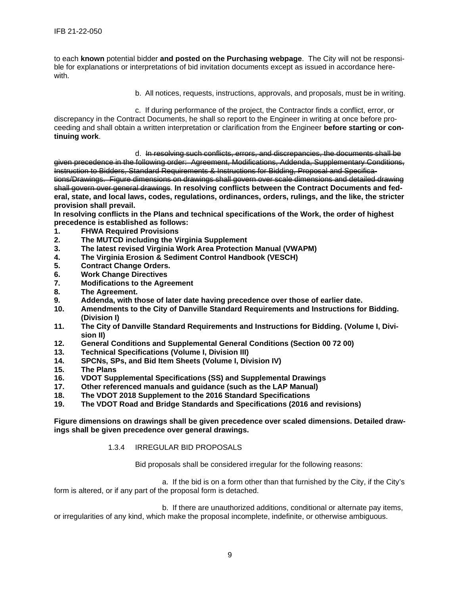to each **known** potential bidder **and posted on the Purchasing webpage**. The City will not be responsible for explanations or interpretations of bid invitation documents except as issued in accordance herewith.

b. All notices, requests, instructions, approvals, and proposals, must be in writing.

c. If during performance of the project, the Contractor finds a conflict, error, or discrepancy in the Contract Documents, he shall so report to the Engineer in writing at once before proceeding and shall obtain a written interpretation or clarification from the Engineer **before starting or continuing work**.

d. In resolving such conflicts, errors, and discrepancies, the documents shall be given precedence in the following order: Agreement, Modifications, Addenda, Supplementary Conditions, Instruction to Bidders, Standard Requirements & Instructions for Bidding, Proposal and Specifications/Drawings. Figure dimensions on drawings shall govern over scale dimensions and detailed drawing shall govern over general drawings. **In resolving conflicts between the Contract Documents and federal, state, and local laws, codes, regulations, ordinances, orders, rulings, and the like, the stricter provision shall prevail.** 

**In resolving conflicts in the Plans and technical specifications of the Work, the order of highest precedence is established as follows:**

- **1. FHWA Required Provisions**
- **2. The MUTCD including the Virginia Supplement**
- **3. The latest revised Virginia Work Area Protection Manual (VWAPM)**
- **4. The Virginia Erosion & Sediment Control Handbook (VESCH)**
- **5. Contract Change Orders.**
- **6. Work Change Directives**
- **7. Modifications to the Agreement**
- **8. The Agreement.**
- **9. Addenda, with those of later date having precedence over those of earlier date.**
- **10. Amendments to the City of Danville Standard Requirements and Instructions for Bidding. (Division I)**
- **11. The City of Danville Standard Requirements and Instructions for Bidding. (Volume I, Division II)**
- **12. General Conditions and Supplemental General Conditions (Section 00 72 00)**
- **13. Technical Specifications (Volume I, Division III)**
- **14. SPCNs, SPs, and Bid Item Sheets (Volume I, Division IV)**
- **15. The Plans**
- **16. VDOT Supplemental Specifications (SS) and Supplemental Drawings**
- **17. Other referenced manuals and guidance (such as the LAP Manual)**
- **18. The VDOT 2018 Supplement to the 2016 Standard Specifications**
- **19. The VDOT Road and Bridge Standards and Specifications (2016 and revisions)**

**Figure dimensions on drawings shall be given precedence over scaled dimensions. Detailed drawings shall be given precedence over general drawings.**

1.3.4 IRREGULAR BID PROPOSALS

Bid proposals shall be considered irregular for the following reasons:

a. If the bid is on a form other than that furnished by the City, if the City's form is altered, or if any part of the proposal form is detached.

b. If there are unauthorized additions, conditional or alternate pay items, or irregularities of any kind, which make the proposal incomplete, indefinite, or otherwise ambiguous.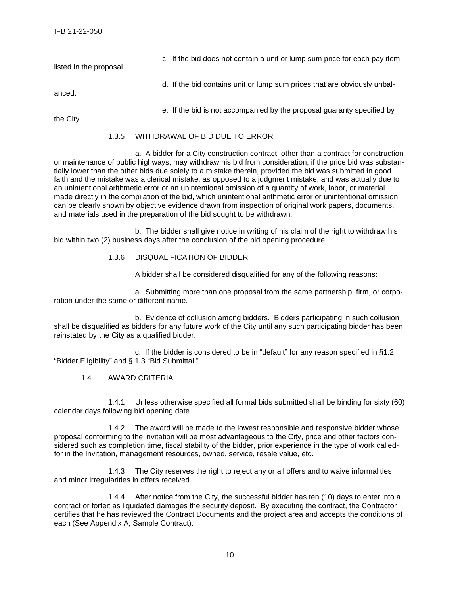IFB 21-22-050

c. If the bid does not contain a unit or lump sum price for each pay item listed in the proposal. d. If the bid contains unit or lump sum prices that are obviously unbal-

anced.

e. If the bid is not accompanied by the proposal guaranty specified by

the City.

#### 1.3.5 WITHDRAWAL OF BID DUE TO ERROR

a. A bidder for a City construction contract, other than a contract for construction or maintenance of public highways, may withdraw his bid from consideration, if the price bid was substantially lower than the other bids due solely to a mistake therein, provided the bid was submitted in good faith and the mistake was a clerical mistake, as opposed to a judgment mistake, and was actually due to an unintentional arithmetic error or an unintentional omission of a quantity of work, labor, or material made directly in the compilation of the bid, which unintentional arithmetic error or unintentional omission can be clearly shown by objective evidence drawn from inspection of original work papers, documents, and materials used in the preparation of the bid sought to be withdrawn.

b. The bidder shall give notice in writing of his claim of the right to withdraw his bid within two (2) business days after the conclusion of the bid opening procedure.

#### 1.3.6 DISQUALIFICATION OF BIDDER

A bidder shall be considered disqualified for any of the following reasons:

a. Submitting more than one proposal from the same partnership, firm, or corporation under the same or different name.

b. Evidence of collusion among bidders. Bidders participating in such collusion shall be disqualified as bidders for any future work of the City until any such participating bidder has been reinstated by the City as a qualified bidder.

c. If the bidder is considered to be in "default" for any reason specified in §1.2 "Bidder Eligibility" and § 1.3 "Bid Submittal."

#### 1.4 AWARD CRITERIA

1.4.1 Unless otherwise specified all formal bids submitted shall be binding for sixty (60) calendar days following bid opening date.

1.4.2 The award will be made to the lowest responsible and responsive bidder whose proposal conforming to the invitation will be most advantageous to the City, price and other factors considered such as completion time, fiscal stability of the bidder, prior experience in the type of work calledfor in the Invitation, management resources, owned, service, resale value, etc.

1.4.3 The City reserves the right to reject any or all offers and to waive informalities and minor irregularities in offers received.

1.4.4 After notice from the City, the successful bidder has ten (10) days to enter into a contract or forfeit as liquidated damages the security deposit. By executing the contract, the Contractor certifies that he has reviewed the Contract Documents and the project area and accepts the conditions of each (See Appendix A, Sample Contract).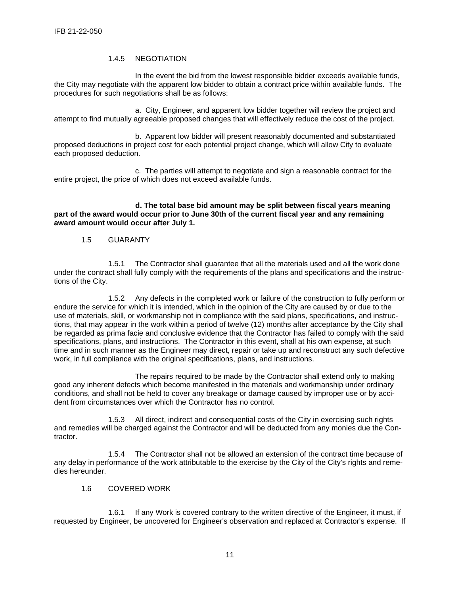#### 1.4.5 NEGOTIATION

In the event the bid from the lowest responsible bidder exceeds available funds, the City may negotiate with the apparent low bidder to obtain a contract price within available funds. The procedures for such negotiations shall be as follows:

a. City, Engineer, and apparent low bidder together will review the project and attempt to find mutually agreeable proposed changes that will effectively reduce the cost of the project.

b. Apparent low bidder will present reasonably documented and substantiated proposed deductions in project cost for each potential project change, which will allow City to evaluate each proposed deduction.

c. The parties will attempt to negotiate and sign a reasonable contract for the entire project, the price of which does not exceed available funds.

#### **d. The total base bid amount may be split between fiscal years meaning part of the award would occur prior to June 30th of the current fiscal year and any remaining award amount would occur after July 1.**

#### 1.5 GUARANTY

1.5.1 The Contractor shall guarantee that all the materials used and all the work done under the contract shall fully comply with the requirements of the plans and specifications and the instructions of the City.

1.5.2 Any defects in the completed work or failure of the construction to fully perform or endure the service for which it is intended, which in the opinion of the City are caused by or due to the use of materials, skill, or workmanship not in compliance with the said plans, specifications, and instructions, that may appear in the work within a period of twelve (12) months after acceptance by the City shall be regarded as prima facie and conclusive evidence that the Contractor has failed to comply with the said specifications, plans, and instructions. The Contractor in this event, shall at his own expense, at such time and in such manner as the Engineer may direct, repair or take up and reconstruct any such defective work, in full compliance with the original specifications, plans, and instructions.

The repairs required to be made by the Contractor shall extend only to making good any inherent defects which become manifested in the materials and workmanship under ordinary conditions, and shall not be held to cover any breakage or damage caused by improper use or by accident from circumstances over which the Contractor has no control.

1.5.3 All direct, indirect and consequential costs of the City in exercising such rights and remedies will be charged against the Contractor and will be deducted from any monies due the Contractor.

1.5.4 The Contractor shall not be allowed an extension of the contract time because of any delay in performance of the work attributable to the exercise by the City of the City's rights and remedies hereunder.

#### 1.6 COVERED WORK

1.6.1 If any Work is covered contrary to the written directive of the Engineer, it must, if requested by Engineer, be uncovered for Engineer's observation and replaced at Contractor's expense. If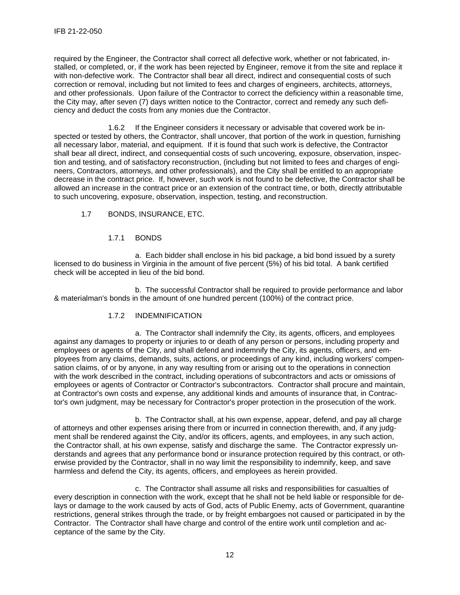required by the Engineer, the Contractor shall correct all defective work, whether or not fabricated, installed, or completed, or, if the work has been rejected by Engineer, remove it from the site and replace it with non-defective work. The Contractor shall bear all direct, indirect and consequential costs of such correction or removal, including but not limited to fees and charges of engineers, architects, attorneys, and other professionals. Upon failure of the Contractor to correct the deficiency within a reasonable time, the City may, after seven (7) days written notice to the Contractor, correct and remedy any such deficiency and deduct the costs from any monies due the Contractor.

1.6.2 If the Engineer considers it necessary or advisable that covered work be inspected or tested by others, the Contractor, shall uncover, that portion of the work in question, furnishing all necessary labor, material, and equipment. If it is found that such work is defective, the Contractor shall bear all direct, indirect, and consequential costs of such uncovering, exposure, observation, inspection and testing, and of satisfactory reconstruction, (including but not limited to fees and charges of engineers, Contractors, attorneys, and other professionals), and the City shall be entitled to an appropriate decrease in the contract price. If, however, such work is not found to be defective, the Contractor shall be allowed an increase in the contract price or an extension of the contract time, or both, directly attributable to such uncovering, exposure, observation, inspection, testing, and reconstruction.

1.7 BONDS, INSURANCE, ETC.

#### 1.7.1 BONDS

a. Each bidder shall enclose in his bid package, a bid bond issued by a surety licensed to do business in Virginia in the amount of five percent (5%) of his bid total. A bank certified check will be accepted in lieu of the bid bond.

b. The successful Contractor shall be required to provide performance and labor & materialman's bonds in the amount of one hundred percent (100%) of the contract price.

#### 1.7.2 INDEMNIFICATION

a. The Contractor shall indemnify the City, its agents, officers, and employees against any damages to property or injuries to or death of any person or persons, including property and employees or agents of the City, and shall defend and indemnify the City, its agents, officers, and employees from any claims, demands, suits, actions, or proceedings of any kind, including workers' compensation claims, of or by anyone, in any way resulting from or arising out to the operations in connection with the work described in the contract, including operations of subcontractors and acts or omissions of employees or agents of Contractor or Contractor's subcontractors. Contractor shall procure and maintain, at Contractor's own costs and expense, any additional kinds and amounts of insurance that, in Contractor's own judgment, may be necessary for Contractor's proper protection in the prosecution of the work.

b. The Contractor shall, at his own expense, appear, defend, and pay all charge of attorneys and other expenses arising there from or incurred in connection therewith, and, if any judgment shall be rendered against the City, and/or its officers, agents, and employees, in any such action, the Contractor shall, at his own expense, satisfy and discharge the same. The Contractor expressly understands and agrees that any performance bond or insurance protection required by this contract, or otherwise provided by the Contractor, shall in no way limit the responsibility to indemnify, keep, and save harmless and defend the City, its agents, officers, and employees as herein provided.

c. The Contractor shall assume all risks and responsibilities for casualties of every description in connection with the work, except that he shall not be held liable or responsible for delays or damage to the work caused by acts of God, acts of Public Enemy, acts of Government, quarantine restrictions, general strikes through the trade, or by freight embargoes not caused or participated in by the Contractor. The Contractor shall have charge and control of the entire work until completion and acceptance of the same by the City.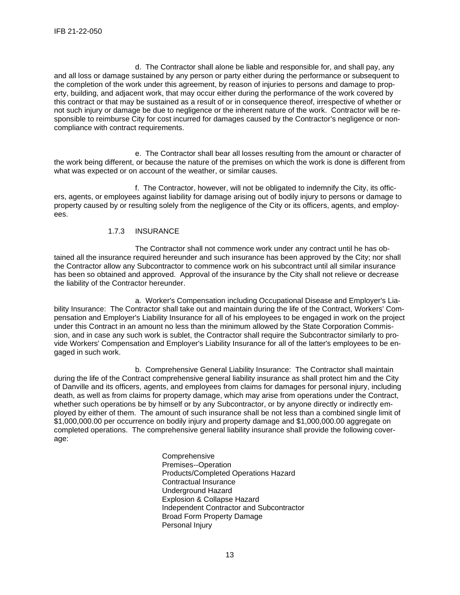d. The Contractor shall alone be liable and responsible for, and shall pay, any and all loss or damage sustained by any person or party either during the performance or subsequent to the completion of the work under this agreement, by reason of injuries to persons and damage to property, building, and adjacent work, that may occur either during the performance of the work covered by this contract or that may be sustained as a result of or in consequence thereof, irrespective of whether or not such injury or damage be due to negligence or the inherent nature of the work. Contractor will be responsible to reimburse City for cost incurred for damages caused by the Contractor's negligence or noncompliance with contract requirements.

e. The Contractor shall bear all losses resulting from the amount or character of the work being different, or because the nature of the premises on which the work is done is different from what was expected or on account of the weather, or similar causes.

f. The Contractor, however, will not be obligated to indemnify the City, its officers, agents, or employees against liability for damage arising out of bodily injury to persons or damage to property caused by or resulting solely from the negligence of the City or its officers, agents, and employees.

#### 1.7.3 INSURANCE

The Contractor shall not commence work under any contract until he has obtained all the insurance required hereunder and such insurance has been approved by the City; nor shall the Contractor allow any Subcontractor to commence work on his subcontract until all similar insurance has been so obtained and approved. Approval of the insurance by the City shall not relieve or decrease the liability of the Contractor hereunder.

a. Worker's Compensation including Occupational Disease and Employer's Liability Insurance: The Contractor shall take out and maintain during the life of the Contract, Workers' Compensation and Employer's Liability Insurance for all of his employees to be engaged in work on the project under this Contract in an amount no less than the minimum allowed by the State Corporation Commission, and in case any such work is sublet, the Contractor shall require the Subcontractor similarly to provide Workers' Compensation and Employer's Liability Insurance for all of the latter's employees to be engaged in such work.

b. Comprehensive General Liability Insurance: The Contractor shall maintain during the life of the Contract comprehensive general liability insurance as shall protect him and the City of Danville and its officers, agents, and employees from claims for damages for personal injury, including death, as well as from claims for property damage, which may arise from operations under the Contract, whether such operations be by himself or by any Subcontractor, or by anyone directly or indirectly employed by either of them. The amount of such insurance shall be not less than a combined single limit of \$1,000,000.00 per occurrence on bodily injury and property damage and \$1,000,000.00 aggregate on completed operations. The comprehensive general liability insurance shall provide the following coverage:

> **Comprehensive** Premises--Operation Products/Completed Operations Hazard Contractual Insurance Underground Hazard Explosion & Collapse Hazard Independent Contractor and Subcontractor Broad Form Property Damage Personal Injury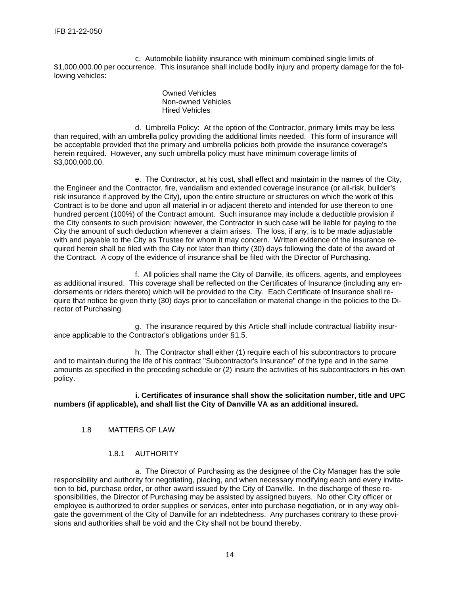c. Automobile liability insurance with minimum combined single limits of \$1,000,000.00 per occurrence. This insurance shall include bodily injury and property damage for the following vehicles:

> Owned Vehicles Non-owned Vehicles Hired Vehicles

d. Umbrella Policy: At the option of the Contractor, primary limits may be less than required, with an umbrella policy providing the additional limits needed. This form of insurance will be acceptable provided that the primary and umbrella policies both provide the insurance coverage's herein required. However, any such umbrella policy must have minimum coverage limits of \$3,000,000.00.

e. The Contractor, at his cost, shall effect and maintain in the names of the City, the Engineer and the Contractor, fire, vandalism and extended coverage insurance (or all-risk, builder's risk insurance if approved by the City), upon the entire structure or structures on which the work of this Contract is to be done and upon all material in or adjacent thereto and intended for use thereon to one hundred percent (100%) of the Contract amount. Such insurance may include a deductible provision if the City consents to such provision; however, the Contractor in such case will be liable for paying to the City the amount of such deduction whenever a claim arises. The loss, if any, is to be made adjustable with and payable to the City as Trustee for whom it may concern. Written evidence of the insurance required herein shall be filed with the City not later than thirty (30) days following the date of the award of the Contract. A copy of the evidence of insurance shall be filed with the Director of Purchasing.

f. All policies shall name the City of Danville, its officers, agents, and employees as additional insured. This coverage shall be reflected on the Certificates of Insurance (including any endorsements or riders thereto) which will be provided to the City. Each Certificate of Insurance shall require that notice be given thirty (30) days prior to cancellation or material change in the policies to the Director of Purchasing.

g. The insurance required by this Article shall include contractual liability insurance applicable to the Contractor's obligations under §1.5.

h. The Contractor shall either (1) require each of his subcontractors to procure and to maintain during the life of his contract "Subcontractor's Insurance" of the type and in the same amounts as specified in the preceding schedule or (2) insure the activities of his subcontractors in his own policy.

#### **i. Certificates of insurance shall show the solicitation number, title and UPC numbers (if applicable), and shall list the City of Danville VA as an additional insured.**

#### 1.8 MATTERS OF LAW

#### 1.8.1 AUTHORITY

a. The Director of Purchasing as the designee of the City Manager has the sole responsibility and authority for negotiating, placing, and when necessary modifying each and every invitation to bid, purchase order, or other award issued by the City of Danville. In the discharge of these responsibilities, the Director of Purchasing may be assisted by assigned buyers. No other City officer or employee is authorized to order supplies or services, enter into purchase negotiation, or in any way obligate the government of the City of Danville for an indebtedness. Any purchases contrary to these provisions and authorities shall be void and the City shall not be bound thereby.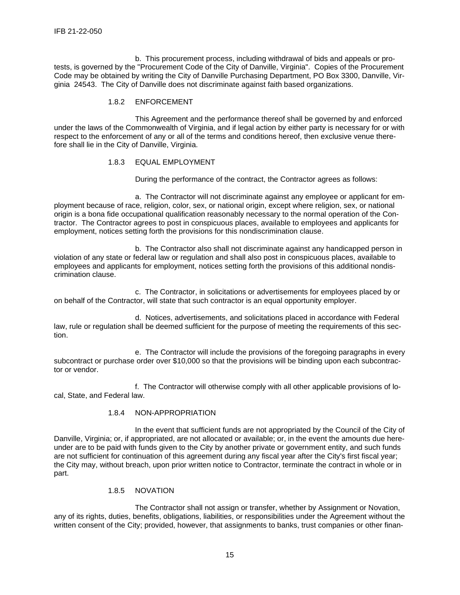b. This procurement process, including withdrawal of bids and appeals or protests, is governed by the "Procurement Code of the City of Danville, Virginia". Copies of the Procurement Code may be obtained by writing the City of Danville Purchasing Department, PO Box 3300, Danville, Virginia 24543. The City of Danville does not discriminate against faith based organizations.

#### 1.8.2 ENFORCEMENT

This Agreement and the performance thereof shall be governed by and enforced under the laws of the Commonwealth of Virginia, and if legal action by either party is necessary for or with respect to the enforcement of any or all of the terms and conditions hereof, then exclusive venue therefore shall lie in the City of Danville, Virginia.

#### 1.8.3 EQUAL EMPLOYMENT

During the performance of the contract, the Contractor agrees as follows:

a. The Contractor will not discriminate against any employee or applicant for employment because of race, religion, color, sex, or national origin, except where religion, sex, or national origin is a bona fide occupational qualification reasonably necessary to the normal operation of the Contractor. The Contractor agrees to post in conspicuous places, available to employees and applicants for employment, notices setting forth the provisions for this nondiscrimination clause.

b. The Contractor also shall not discriminate against any handicapped person in violation of any state or federal law or regulation and shall also post in conspicuous places, available to employees and applicants for employment, notices setting forth the provisions of this additional nondiscrimination clause.

c. The Contractor, in solicitations or advertisements for employees placed by or on behalf of the Contractor, will state that such contractor is an equal opportunity employer.

d. Notices, advertisements, and solicitations placed in accordance with Federal law, rule or regulation shall be deemed sufficient for the purpose of meeting the requirements of this section.

e. The Contractor will include the provisions of the foregoing paragraphs in every subcontract or purchase order over \$10,000 so that the provisions will be binding upon each subcontractor or vendor.

f. The Contractor will otherwise comply with all other applicable provisions of local, State, and Federal law.

#### 1.8.4 NON-APPROPRIATION

In the event that sufficient funds are not appropriated by the Council of the City of Danville, Virginia; or, if appropriated, are not allocated or available; or, in the event the amounts due hereunder are to be paid with funds given to the City by another private or government entity, and such funds are not sufficient for continuation of this agreement during any fiscal year after the City's first fiscal year; the City may, without breach, upon prior written notice to Contractor, terminate the contract in whole or in part.

#### 1.8.5 NOVATION

The Contractor shall not assign or transfer, whether by Assignment or Novation, any of its rights, duties, benefits, obligations, liabilities, or responsibilities under the Agreement without the written consent of the City; provided, however, that assignments to banks, trust companies or other finan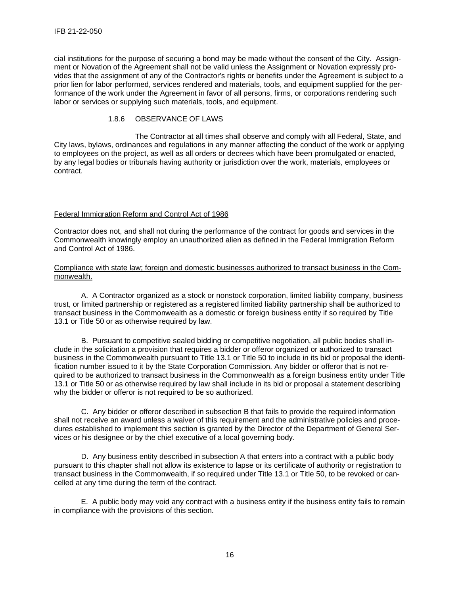cial institutions for the purpose of securing a bond may be made without the consent of the City. Assignment or Novation of the Agreement shall not be valid unless the Assignment or Novation expressly provides that the assignment of any of the Contractor's rights or benefits under the Agreement is subject to a prior lien for labor performed, services rendered and materials, tools, and equipment supplied for the performance of the work under the Agreement in favor of all persons, firms, or corporations rendering such labor or services or supplying such materials, tools, and equipment.

#### 1.8.6 OBSERVANCE OF LAWS

The Contractor at all times shall observe and comply with all Federal, State, and City laws, bylaws, ordinances and regulations in any manner affecting the conduct of the work or applying to employees on the project, as well as all orders or decrees which have been promulgated or enacted, by any legal bodies or tribunals having authority or jurisdiction over the work, materials, employees or contract.

#### Federal Immigration Reform and Control Act of 1986

Contractor does not, and shall not during the performance of the contract for goods and services in the Commonwealth knowingly employ an unauthorized alien as defined in the Federal Immigration Reform and Control Act of 1986.

#### Compliance with state law; foreign and domestic businesses authorized to transact business in the Commonwealth.

A. A Contractor organized as a stock or nonstock corporation, limited liability company, business trust, or limited partnership or registered as a registered limited liability partnership shall be authorized to transact business in the Commonwealth as a domestic or foreign business entity if so required by Title 13.1 or Title 50 or as otherwise required by law.

B. Pursuant to competitive sealed bidding or competitive negotiation, all public bodies shall include in the solicitation a provision that requires a bidder or offeror organized or authorized to transact business in the Commonwealth pursuant to Title 13.1 or Title 50 to include in its bid or proposal the identification number issued to it by the State Corporation Commission. Any bidder or offeror that is not required to be authorized to transact business in the Commonwealth as a foreign business entity under Title 13.1 or Title 50 or as otherwise required by law shall include in its bid or proposal a statement describing why the bidder or offeror is not required to be so authorized.

C. Any bidder or offeror described in subsection B that fails to provide the required information shall not receive an award unless a waiver of this requirement and the administrative policies and procedures established to implement this section is granted by the Director of the Department of General Services or his designee or by the chief executive of a local governing body.

D. Any business entity described in subsection A that enters into a contract with a public body pursuant to this chapter shall not allow its existence to lapse or its certificate of authority or registration to transact business in the Commonwealth, if so required under Title 13.1 or Title 50, to be revoked or cancelled at any time during the term of the contract.

E. A public body may void any contract with a business entity if the business entity fails to remain in compliance with the provisions of this section.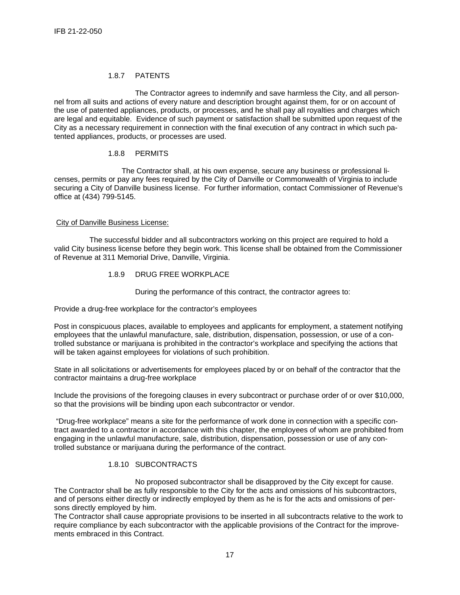#### 1.8.7 PATENTS

The Contractor agrees to indemnify and save harmless the City, and all personnel from all suits and actions of every nature and description brought against them, for or on account of the use of patented appliances, products, or processes, and he shall pay all royalties and charges which are legal and equitable. Evidence of such payment or satisfaction shall be submitted upon request of the City as a necessary requirement in connection with the final execution of any contract in which such patented appliances, products, or processes are used.

#### 1.8.8 PERMITS

The Contractor shall, at his own expense, secure any business or professional licenses, permits or pay any fees required by the City of Danville or Commonwealth of Virginia to include securing a City of Danville business license. For further information, contact Commissioner of Revenue's office at (434) 799-5145.

#### City of Danville Business License:

 The successful bidder and all subcontractors working on this project are required to hold a valid City business license before they begin work. This license shall be obtained from the Commissioner of Revenue at 311 Memorial Drive, Danville, Virginia.

#### 1.8.9 DRUG FREE WORKPLACE

During the performance of this contract, the contractor agrees to:

Provide a drug-free workplace for the contractor's employees

Post in conspicuous places, available to employees and applicants for employment, a statement notifying employees that the unlawful manufacture, sale, distribution, dispensation, possession, or use of a controlled substance or marijuana is prohibited in the contractor's workplace and specifying the actions that will be taken against employees for violations of such prohibition.

State in all solicitations or advertisements for employees placed by or on behalf of the contractor that the contractor maintains a drug-free workplace

Include the provisions of the foregoing clauses in every subcontract or purchase order of or over \$10,000, so that the provisions will be binding upon each subcontractor or vendor.

"Drug-free workplace" means a site for the performance of work done in connection with a specific contract awarded to a contractor in accordance with this chapter, the employees of whom are prohibited from engaging in the unlawful manufacture, sale, distribution, dispensation, possession or use of any controlled substance or marijuana during the performance of the contract.

#### 1.8.10 SUBCONTRACTS

No proposed subcontractor shall be disapproved by the City except for cause. The Contractor shall be as fully responsible to the City for the acts and omissions of his subcontractors, and of persons either directly or indirectly employed by them as he is for the acts and omissions of persons directly employed by him.

The Contractor shall cause appropriate provisions to be inserted in all subcontracts relative to the work to require compliance by each subcontractor with the applicable provisions of the Contract for the improvements embraced in this Contract.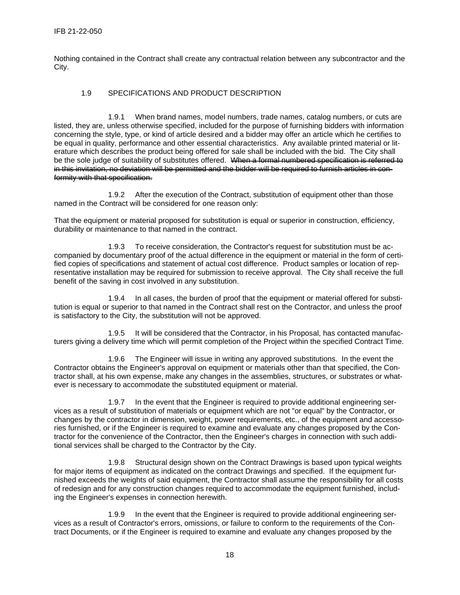Nothing contained in the Contract shall create any contractual relation between any subcontractor and the City.

#### 1.9 SPECIFICATIONS AND PRODUCT DESCRIPTION

1.9.1 When brand names, model numbers, trade names, catalog numbers, or cuts are listed, they are, unless otherwise specified, included for the purpose of furnishing bidders with information concerning the style, type, or kind of article desired and a bidder may offer an article which he certifies to be equal in quality, performance and other essential characteristics. Any available printed material or literature which describes the product being offered for sale shall be included with the bid. The City shall be the sole judge of suitability of substitutes offered. When a formal numbered specification is referred to in this invitation, no deviation will be permitted and the bidder will be required to furnish articles in conformity with that specification.

1.9.2 After the execution of the Contract, substitution of equipment other than those named in the Contract will be considered for one reason only:

That the equipment or material proposed for substitution is equal or superior in construction, efficiency, durability or maintenance to that named in the contract.

1.9.3 To receive consideration, the Contractor's request for substitution must be accompanied by documentary proof of the actual difference in the equipment or material in the form of certified copies of specifications and statement of actual cost difference. Product samples or location of representative installation may be required for submission to receive approval. The City shall receive the full benefit of the saving in cost involved in any substitution.

1.9.4 In all cases, the burden of proof that the equipment or material offered for substitution is equal or superior to that named in the Contract shall rest on the Contractor, and unless the proof is satisfactory to the City, the substitution will not be approved.

1.9.5 It will be considered that the Contractor, in his Proposal, has contacted manufacturers giving a delivery time which will permit completion of the Project within the specified Contract Time.

1.9.6 The Engineer will issue in writing any approved substitutions. In the event the Contractor obtains the Engineer's approval on equipment or materials other than that specified, the Contractor shall, at his own expense, make any changes in the assemblies, structures, or substrates or whatever is necessary to accommodate the substituted equipment or material.

1.9.7 In the event that the Engineer is required to provide additional engineering services as a result of substitution of materials or equipment which are not "or equal" by the Contractor, or changes by the contractor in dimension, weight, power requirements, etc., of the equipment and accessories furnished, or if the Engineer is required to examine and evaluate any changes proposed by the Contractor for the convenience of the Contractor, then the Engineer's charges in connection with such additional services shall be charged to the Contractor by the City.

1.9.8 Structural design shown on the Contract Drawings is based upon typical weights for major items of equipment as indicated on the contract Drawings and specified. If the equipment furnished exceeds the weights of said equipment, the Contractor shall assume the responsibility for all costs of redesign and for any construction changes required to accommodate the equipment furnished, including the Engineer's expenses in connection herewith.

1.9.9 In the event that the Engineer is required to provide additional engineering services as a result of Contractor's errors, omissions, or failure to conform to the requirements of the Contract Documents, or if the Engineer is required to examine and evaluate any changes proposed by the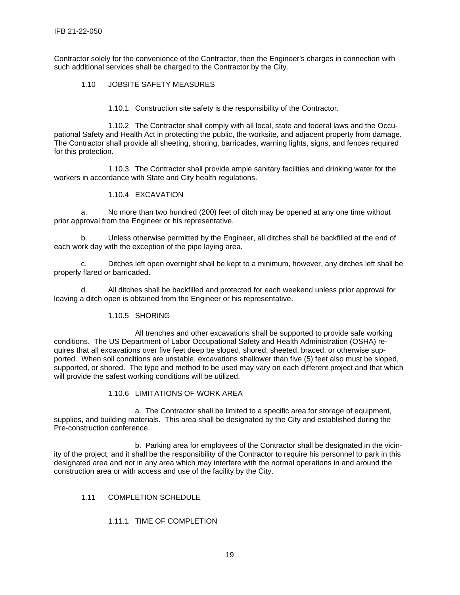Contractor solely for the convenience of the Contractor, then the Engineer's charges in connection with such additional services shall be charged to the Contractor by the City.

#### 1.10 JOBSITE SAFETY MEASURES

1.10.1 Construction site safety is the responsibility of the Contractor.

1.10.2 The Contractor shall comply with all local, state and federal laws and the Occupational Safety and Health Act in protecting the public, the worksite, and adjacent property from damage. The Contractor shall provide all sheeting, shoring, barricades, warning lights, signs, and fences required for this protection.

1.10.3 The Contractor shall provide ample sanitary facilities and drinking water for the workers in accordance with State and City health regulations.

#### 1.10.4 EXCAVATION

a. No more than two hundred (200) feet of ditch may be opened at any one time without prior approval from the Engineer or his representative.

b. Unless otherwise permitted by the Engineer, all ditches shall be backfilled at the end of each work day with the exception of the pipe laying area.

c. Ditches left open overnight shall be kept to a minimum, however, any ditches left shall be properly flared or barricaded.

d. All ditches shall be backfilled and protected for each weekend unless prior approval for leaving a ditch open is obtained from the Engineer or his representative.

#### 1.10.5 SHORING

All trenches and other excavations shall be supported to provide safe working conditions. The US Department of Labor Occupational Safety and Health Administration (OSHA) requires that all excavations over five feet deep be sloped, shored, sheeted, braced, or otherwise supported. When soil conditions are unstable, excavations shallower than five (5) feet also must be sloped, supported, or shored. The type and method to be used may vary on each different project and that which will provide the safest working conditions will be utilized.

#### 1.10.6 LIMITATIONS OF WORK AREA

a. The Contractor shall be limited to a specific area for storage of equipment, supplies, and building materials. This area shall be designated by the City and established during the Pre-construction conference.

b. Parking area for employees of the Contractor shall be designated in the vicinity of the project, and it shall be the responsibility of the Contractor to require his personnel to park in this designated area and not in any area which may interfere with the normal operations in and around the construction area or with access and use of the facility by the City.

#### 1.11 COMPLETION SCHEDULE

#### 1.11.1 TIME OF COMPLETION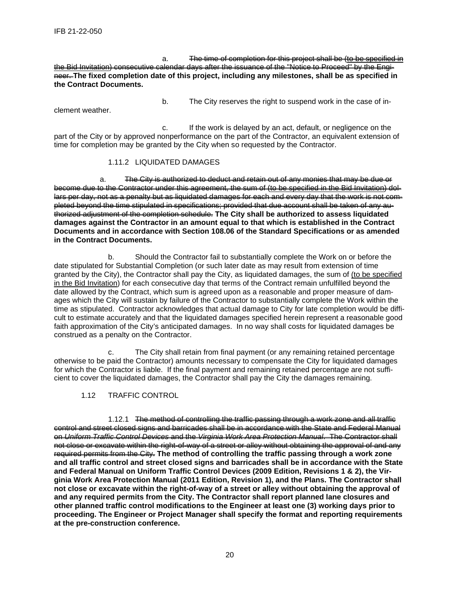a. The time of completion for this project shall be (to be specified in the Bid Invitation) consecutive calendar days after the issuance of the "Notice to Proceed" by the Engineer. **The fixed completion date of this project, including any milestones, shall be as specified in the Contract Documents.**

- clement weather.
- b. The City reserves the right to suspend work in the case of in-

c. If the work is delayed by an act, default, or negligence on the part of the City or by approved nonperformance on the part of the Contractor, an equivalent extension of time for completion may be granted by the City when so requested by the Contractor.

#### 1.11.2 LIQUIDATED DAMAGES

 a. The City is authorized to deduct and retain out of any monies that may be due or become due to the Contractor under this agreement, the sum of (to be specified in the Bid Invitation) dollars per day, not as a penalty but as liquidated damages for each and every day that the work is not completed beyond the time stipulated in specifications; provided that due account shall be taken of any authorized adjustment of the completion schedule. **The City shall be authorized to assess liquidated damages against the Contractor in an amount equal to that which is established in the Contract Documents and in accordance with Section 108.06 of the Standard Specifications or as amended in the Contract Documents.**

b. Should the Contractor fail to substantially complete the Work on or before the date stipulated for Substantial Completion (or such later date as may result from extension of time granted by the City), the Contractor shall pay the City, as liquidated damages, the sum of (to be specified in the Bid Invitation) for each consecutive day that terms of the Contract remain unfulfilled beyond the date allowed by the Contract, which sum is agreed upon as a reasonable and proper measure of damages which the City will sustain by failure of the Contractor to substantially complete the Work within the time as stipulated. Contractor acknowledges that actual damage to City for late completion would be difficult to estimate accurately and that the liquidated damages specified herein represent a reasonable good faith approximation of the City's anticipated damages. In no way shall costs for liquidated damages be construed as a penalty on the Contractor.

c. The City shall retain from final payment (or any remaining retained percentage otherwise to be paid the Contractor) amounts necessary to compensate the City for liquidated damages for which the Contractor is liable. If the final payment and remaining retained percentage are not sufficient to cover the liquidated damages, the Contractor shall pay the City the damages remaining.

#### 1.12 TRAFFIC CONTROL

1.12.1 The method of controlling the traffic passing through a work zone and all traffic control and street closed signs and barricades shall be in accordance with the State and Federal Manual on *Uniform Traffic Control Devices* and the *Virginia Work Area Protection Manual*. The Contractor shall not close or excavate within the right-of-way of a street or alley without obtaining the approval of and any required permits from the City. **The method of controlling the traffic passing through a work zone and all traffic control and street closed signs and barricades shall be in accordance with the State and Federal Manual on Uniform Traffic Control Devices (2009 Edition, Revisions 1 & 2), the Virginia Work Area Protection Manual (2011 Edition, Revision 1), and the Plans. The Contractor shall not close or excavate within the right-of-way of a street or alley without obtaining the approval of and any required permits from the City. The Contractor shall report planned lane closures and other planned traffic control modifications to the Engineer at least one (3) working days prior to proceeding. The Engineer or Project Manager shall specify the format and reporting requirements at the pre-construction conference.**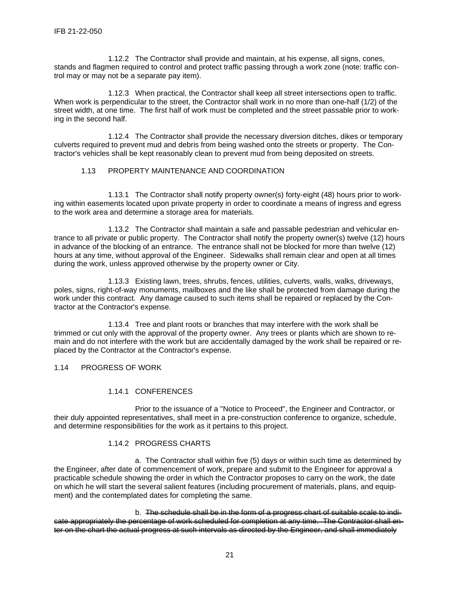1.12.2 The Contractor shall provide and maintain, at his expense, all signs, cones, stands and flagmen required to control and protect traffic passing through a work zone (note: traffic control may or may not be a separate pay item).

1.12.3 When practical, the Contractor shall keep all street intersections open to traffic. When work is perpendicular to the street, the Contractor shall work in no more than one-half (1/2) of the street width, at one time. The first half of work must be completed and the street passable prior to working in the second half.

1.12.4 The Contractor shall provide the necessary diversion ditches, dikes or temporary culverts required to prevent mud and debris from being washed onto the streets or property. The Contractor's vehicles shall be kept reasonably clean to prevent mud from being deposited on streets.

#### 1.13 PROPERTY MAINTENANCE AND COORDINATION

1.13.1 The Contractor shall notify property owner(s) forty-eight (48) hours prior to working within easements located upon private property in order to coordinate a means of ingress and egress to the work area and determine a storage area for materials.

1.13.2 The Contractor shall maintain a safe and passable pedestrian and vehicular entrance to all private or public property. The Contractor shall notify the property owner(s) twelve (12) hours in advance of the blocking of an entrance. The entrance shall not be blocked for more than twelve (12) hours at any time, without approval of the Engineer. Sidewalks shall remain clear and open at all times during the work, unless approved otherwise by the property owner or City.

1.13.3 Existing lawn, trees, shrubs, fences, utilities, culverts, walls, walks, driveways, poles, signs, right-of-way monuments, mailboxes and the like shall be protected from damage during the work under this contract. Any damage caused to such items shall be repaired or replaced by the Contractor at the Contractor's expense.

1.13.4 Tree and plant roots or branches that may interfere with the work shall be trimmed or cut only with the approval of the property owner. Any trees or plants which are shown to remain and do not interfere with the work but are accidentally damaged by the work shall be repaired or replaced by the Contractor at the Contractor's expense.

#### 1.14 PROGRESS OF WORK

#### 1.14.1 CONFERENCES

Prior to the issuance of a "Notice to Proceed", the Engineer and Contractor, or their duly appointed representatives, shall meet in a pre-construction conference to organize, schedule, and determine responsibilities for the work as it pertains to this project.

#### 1.14.2 PROGRESS CHARTS

a. The Contractor shall within five (5) days or within such time as determined by the Engineer, after date of commencement of work, prepare and submit to the Engineer for approval a practicable schedule showing the order in which the Contractor proposes to carry on the work, the date on which he will start the several salient features (including procurement of materials, plans, and equipment) and the contemplated dates for completing the same.

b. The schedule shall be in the form of a progress chart of suitable scale to indicate appropriately the percentage of work scheduled for completion at any time. The Contractor shall enter on the chart the actual progress at such intervals as directed by the Engineer, and shall immediately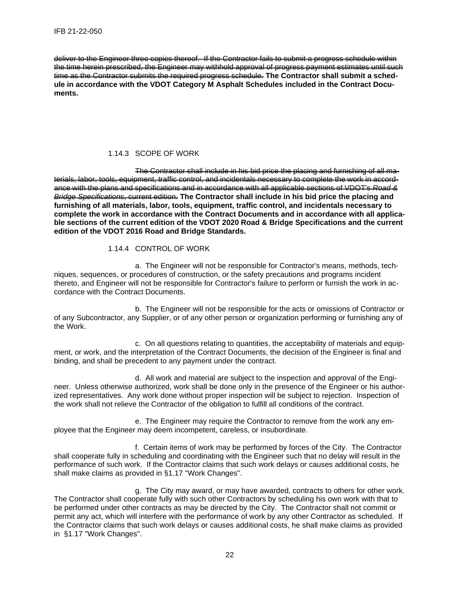deliver to the Engineer three copies thereof. If the Contractor fails to submit a progress schedule within the time herein prescribed, the Engineer may withhold approval of progress payment estimates until such time as the Contractor submits the required progress schedule. **The Contractor shall submit a schedule in accordance with the VDOT Category M Asphalt Schedules included in the Contract Documents.**

#### 1.14.3 SCOPE OF WORK

The Contractor shall include in his bid price the placing and furnishing of all materials, labor, tools, equipment, traffic control, and incidentals necessary to complete the work in accordance with the plans and specifications and in accordance with all applicable sections of VDOT's *Road & Bridge Specifications*, current edition. **The Contractor shall include in his bid price the placing and furnishing of all materials, labor, tools, equipment, traffic control, and incidentals necessary to complete the work in accordance with the Contract Documents and in accordance with all applicable sections of the current edition of the VDOT 2020 Road & Bridge Specifications and the current edition of the VDOT 2016 Road and Bridge Standards.**

#### 1.14.4 CONTROL OF WORK

a. The Engineer will not be responsible for Contractor's means, methods, techniques, sequences, or procedures of construction, or the safety precautions and programs incident thereto, and Engineer will not be responsible for Contractor's failure to perform or furnish the work in accordance with the Contract Documents.

b. The Engineer will not be responsible for the acts or omissions of Contractor or of any Subcontractor, any Supplier, or of any other person or organization performing or furnishing any of the Work.

c. On all questions relating to quantities, the acceptability of materials and equipment, or work, and the interpretation of the Contract Documents, the decision of the Engineer is final and binding, and shall be precedent to any payment under the contract.

d. All work and material are subject to the inspection and approval of the Engineer. Unless otherwise authorized, work shall be done only in the presence of the Engineer or his authorized representatives. Any work done without proper inspection will be subject to rejection. Inspection of the work shall not relieve the Contractor of the obligation to fulfill all conditions of the contract.

e. The Engineer may require the Contractor to remove from the work any employee that the Engineer may deem incompetent, careless, or insubordinate.

f. Certain items of work may be performed by forces of the City. The Contractor shall cooperate fully in scheduling and coordinating with the Engineer such that no delay will result in the performance of such work. If the Contractor claims that such work delays or causes additional costs, he shall make claims as provided in §1.17 "Work Changes".

g. The City may award, or may have awarded, contracts to others for other work. The Contractor shall cooperate fully with such other Contractors by scheduling his own work with that to be performed under other contracts as may be directed by the City. The Contractor shall not commit or permit any act, which will interfere with the performance of work by any other Contractor as scheduled. If the Contractor claims that such work delays or causes additional costs, he shall make claims as provided in §1.17 "Work Changes".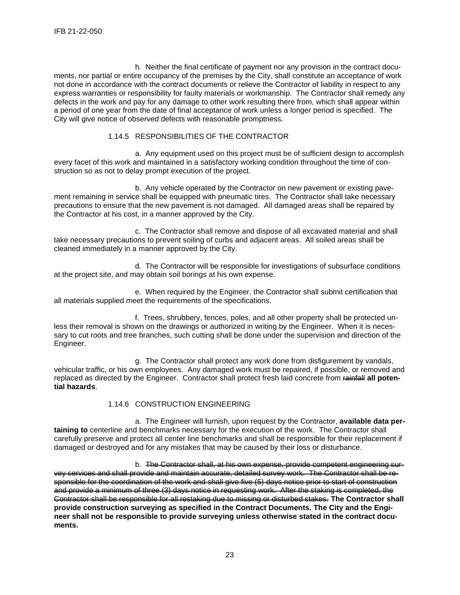h. Neither the final certificate of payment nor any provision in the contract documents, nor partial or entire occupancy of the premises by the City, shall constitute an acceptance of work not done in accordance with the contract documents or relieve the Contractor of liability in respect to any express warranties or responsibility for faulty materials or workmanship. The Contractor shall remedy any defects in the work and pay for any damage to other work resulting there from, which shall appear within a period of one year from the date of final acceptance of work unless a longer period is specified. The City will give notice of observed defects with reasonable promptness.

#### 1.14.5 RESPONSIBILITIES OF THE CONTRACTOR

a. Any equipment used on this project must be of sufficient design to accomplish every facet of this work and maintained in a satisfactory working condition throughout the time of construction so as not to delay prompt execution of the project.

b. Any vehicle operated by the Contractor on new pavement or existing pavement remaining in service shall be equipped with pneumatic tires. The Contractor shall take necessary precautions to ensure that the new pavement is not damaged. All damaged areas shall be repaired by the Contractor at his cost, in a manner approved by the City.

c. The Contractor shall remove and dispose of all excavated material and shall take necessary precautions to prevent soiling of curbs and adjacent areas. All soiled areas shall be cleaned immediately in a manner approved by the City.

d. The Contractor will be responsible for investigations of subsurface conditions at the project site, and may obtain soil borings at his own expense.

e. When required by the Engineer, the Contractor shall submit certification that all materials supplied meet the requirements of the specifications.

f. Trees, shrubbery, fences, poles, and all other property shall be protected unless their removal is shown on the drawings or authorized in writing by the Engineer. When it is necessary to cut roots and tree branches, such cutting shall be done under the supervision and direction of the Engineer.

g. The Contractor shall protect any work done from disfigurement by vandals, vehicular traffic, or his own employees. Any damaged work must be repaired, if possible, or removed and replaced as directed by the Engineer. Contractor shall protect fresh laid concrete from rainfall **all potential hazards**.

#### 1.14.6 CONSTRUCTION ENGINEERING

a. The Engineer will furnish, upon request by the Contractor, **available data pertaining to** centerline and benchmarks necessary for the execution of the work. The Contractor shall carefully preserve and protect all center line benchmarks and shall be responsible for their replacement if damaged or destroyed and for any mistakes that may be caused by their loss or disturbance.

b. The Contractor shall, at his own expense, provide competent engineering survey services and shall provide and maintain accurate, detailed survey work. The Contractor shall be responsible for the coordination of the work and shall give five (5) days notice prior to start of construction and provide a minimum of three (3) days notice in requesting work. After the staking is completed, the Contractor shall be responsible for all restaking due to missing or disturbed stakes. **The Contractor shall provide construction surveying as specified in the Contract Documents. The City and the Engineer shall not be responsible to provide surveying unless otherwise stated in the contract documents.**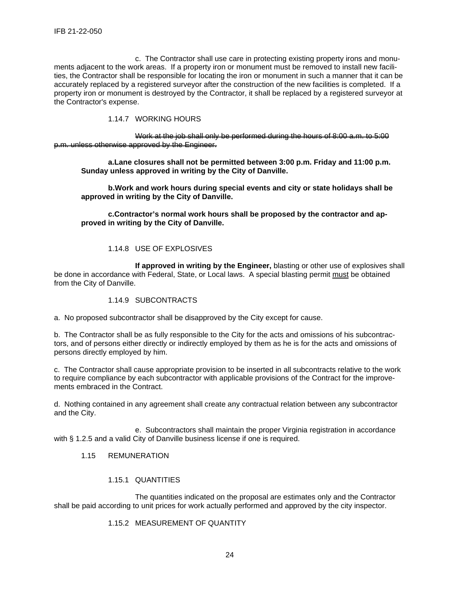c. The Contractor shall use care in protecting existing property irons and monuments adjacent to the work areas. If a property iron or monument must be removed to install new facilities, the Contractor shall be responsible for locating the iron or monument in such a manner that it can be accurately replaced by a registered surveyor after the construction of the new facilities is completed. If a property iron or monument is destroyed by the Contractor, it shall be replaced by a registered surveyor at the Contractor's expense.

#### 1.14.7 WORKING HOURS

Work at the job shall only be performed during the hours of 8:00 a.m. to 5:00 p.m. unless otherwise approved by the Engineer.

**a.Lane closures shall not be permitted between 3:00 p.m. Friday and 11:00 p.m. Sunday unless approved in writing by the City of Danville.**

**b.Work and work hours during special events and city or state holidays shall be approved in writing by the City of Danville.**

**c.Contractor's normal work hours shall be proposed by the contractor and approved in writing by the City of Danville.**

#### 1.14.8 USE OF EXPLOSIVES

**If approved in writing by the Engineer,** blasting or other use of explosives shall be done in accordance with Federal, State, or Local laws. A special blasting permit must be obtained from the City of Danville.

#### 1.14.9 SUBCONTRACTS

a. No proposed subcontractor shall be disapproved by the City except for cause.

b. The Contractor shall be as fully responsible to the City for the acts and omissions of his subcontractors, and of persons either directly or indirectly employed by them as he is for the acts and omissions of persons directly employed by him.

c. The Contractor shall cause appropriate provision to be inserted in all subcontracts relative to the work to require compliance by each subcontractor with applicable provisions of the Contract for the improvements embraced in the Contract.

d. Nothing contained in any agreement shall create any contractual relation between any subcontractor and the City.

e. Subcontractors shall maintain the proper Virginia registration in accordance with § 1.2.5 and a valid City of Danville business license if one is required.

#### 1.15 REMUNERATION

#### 1.15.1 QUANTITIES

The quantities indicated on the proposal are estimates only and the Contractor shall be paid according to unit prices for work actually performed and approved by the city inspector.

#### 1.15.2 MEASUREMENT OF QUANTITY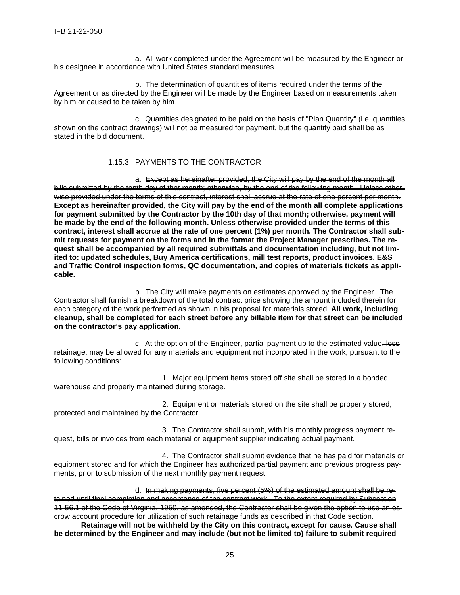a. All work completed under the Agreement will be measured by the Engineer or his designee in accordance with United States standard measures.

b. The determination of quantities of items required under the terms of the Agreement or as directed by the Engineer will be made by the Engineer based on measurements taken by him or caused to be taken by him.

c. Quantities designated to be paid on the basis of "Plan Quantity" (i.e. quantities shown on the contract drawings) will not be measured for payment, but the quantity paid shall be as stated in the bid document.

#### 1.15.3 PAYMENTS TO THE CONTRACTOR

a. Except as hereinafter provided, the City will pay by the end of the month all bills submitted by the tenth day of that month; otherwise, by the end of the following month. Unless otherwise provided under the terms of this contract, interest shall accrue at the rate of one percent per month. **Except as hereinafter provided, the City will pay by the end of the month all complete applications for payment submitted by the Contractor by the 10th day of that month; otherwise, payment will be made by the end of the following month. Unless otherwise provided under the terms of this contract, interest shall accrue at the rate of one percent (1%) per month. The Contractor shall submit requests for payment on the forms and in the format the Project Manager prescribes. The request shall be accompanied by all required submittals and documentation including, but not limited to: updated schedules, Buy America certifications, mill test reports, product invoices, E&S and Traffic Control inspection forms, QC documentation, and copies of materials tickets as applicable.**

b. The City will make payments on estimates approved by the Engineer. The Contractor shall furnish a breakdown of the total contract price showing the amount included therein for each category of the work performed as shown in his proposal for materials stored. **All work, including cleanup, shall be completed for each street before any billable item for that street can be included on the contractor's pay application.** 

c. At the option of the Engineer, partial payment up to the estimated value, less retainage, may be allowed for any materials and equipment not incorporated in the work, pursuant to the following conditions:

1. Major equipment items stored off site shall be stored in a bonded warehouse and properly maintained during storage.

2. Equipment or materials stored on the site shall be properly stored, protected and maintained by the Contractor.

3. The Contractor shall submit, with his monthly progress payment request, bills or invoices from each material or equipment supplier indicating actual payment.

4. The Contractor shall submit evidence that he has paid for materials or equipment stored and for which the Engineer has authorized partial payment and previous progress payments, prior to submission of the next monthly payment request.

d. In making payments, five percent (5%) of the estimated amount shall be retained until final completion and acceptance of the contract work. To the extent required by Subsection 11-56.1 of the Code of Virginia, 1950, as amended, the Contractor shall be given the option to use an escrow account procedure for utilization of such retainage funds as described in that Code section.

**Retainage will not be withheld by the City on this contract, except for cause. Cause shall be determined by the Engineer and may include (but not be limited to) failure to submit required**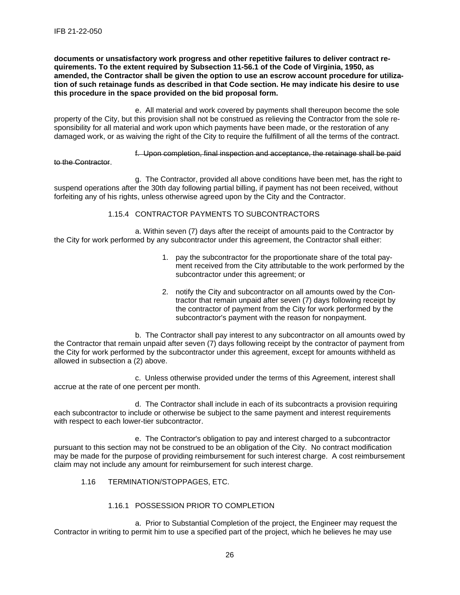**documents or unsatisfactory work progress and other repetitive failures to deliver contract requirements. To the extent required by Subsection 11-56.1 of the Code of Virginia, 1950, as amended, the Contractor shall be given the option to use an escrow account procedure for utilization of such retainage funds as described in that Code section. He may indicate his desire to use this procedure in the space provided on the bid proposal form.**

e. All material and work covered by payments shall thereupon become the sole property of the City, but this provision shall not be construed as relieving the Contractor from the sole responsibility for all material and work upon which payments have been made, or the restoration of any damaged work, or as waiving the right of the City to require the fulfillment of all the terms of the contract.

f. Upon completion, final inspection and acceptance, the retainage shall be paid

#### to the Contractor.

g. The Contractor, provided all above conditions have been met, has the right to suspend operations after the 30th day following partial billing, if payment has not been received, without forfeiting any of his rights, unless otherwise agreed upon by the City and the Contractor.

#### 1.15.4 CONTRACTOR PAYMENTS TO SUBCONTRACTORS

a. Within seven (7) days after the receipt of amounts paid to the Contractor by the City for work performed by any subcontractor under this agreement, the Contractor shall either:

- 1. pay the subcontractor for the proportionate share of the total payment received from the City attributable to the work performed by the subcontractor under this agreement; or
- 2. notify the City and subcontractor on all amounts owed by the Contractor that remain unpaid after seven (7) days following receipt by the contractor of payment from the City for work performed by the subcontractor's payment with the reason for nonpayment.

b. The Contractor shall pay interest to any subcontractor on all amounts owed by the Contractor that remain unpaid after seven (7) days following receipt by the contractor of payment from the City for work performed by the subcontractor under this agreement, except for amounts withheld as allowed in subsection a (2) above.

c. Unless otherwise provided under the terms of this Agreement, interest shall accrue at the rate of one percent per month.

d. The Contractor shall include in each of its subcontracts a provision requiring each subcontractor to include or otherwise be subject to the same payment and interest requirements with respect to each lower-tier subcontractor.

e. The Contractor's obligation to pay and interest charged to a subcontractor pursuant to this section may not be construed to be an obligation of the City. No contract modification may be made for the purpose of providing reimbursement for such interest charge. A cost reimbursement claim may not include any amount for reimbursement for such interest charge.

#### 1.16 TERMINATION/STOPPAGES, ETC.

#### 1.16.1 POSSESSION PRIOR TO COMPLETION

a. Prior to Substantial Completion of the project, the Engineer may request the Contractor in writing to permit him to use a specified part of the project, which he believes he may use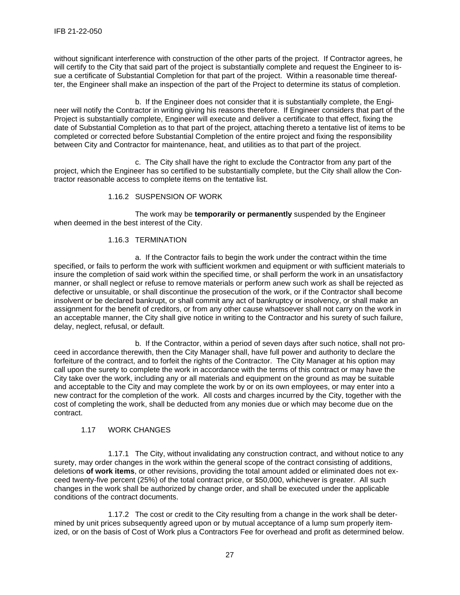without significant interference with construction of the other parts of the project. If Contractor agrees, he will certify to the City that said part of the project is substantially complete and request the Engineer to issue a certificate of Substantial Completion for that part of the project. Within a reasonable time thereafter, the Engineer shall make an inspection of the part of the Project to determine its status of completion.

b. If the Engineer does not consider that it is substantially complete, the Engineer will notify the Contractor in writing giving his reasons therefore. If Engineer considers that part of the Project is substantially complete, Engineer will execute and deliver a certificate to that effect, fixing the date of Substantial Completion as to that part of the project, attaching thereto a tentative list of items to be completed or corrected before Substantial Completion of the entire project and fixing the responsibility between City and Contractor for maintenance, heat, and utilities as to that part of the project.

c. The City shall have the right to exclude the Contractor from any part of the project, which the Engineer has so certified to be substantially complete, but the City shall allow the Contractor reasonable access to complete items on the tentative list.

#### 1.16.2 SUSPENSION OF WORK

The work may be **temporarily or permanently** suspended by the Engineer when deemed in the best interest of the City.

#### 1.16.3 TERMINATION

a. If the Contractor fails to begin the work under the contract within the time specified, or fails to perform the work with sufficient workmen and equipment or with sufficient materials to insure the completion of said work within the specified time, or shall perform the work in an unsatisfactory manner, or shall neglect or refuse to remove materials or perform anew such work as shall be rejected as defective or unsuitable, or shall discontinue the prosecution of the work, or if the Contractor shall become insolvent or be declared bankrupt, or shall commit any act of bankruptcy or insolvency, or shall make an assignment for the benefit of creditors, or from any other cause whatsoever shall not carry on the work in an acceptable manner, the City shall give notice in writing to the Contractor and his surety of such failure, delay, neglect, refusal, or default.

b. If the Contractor, within a period of seven days after such notice, shall not proceed in accordance therewith, then the City Manager shall, have full power and authority to declare the forfeiture of the contract, and to forfeit the rights of the Contractor. The City Manager at his option may call upon the surety to complete the work in accordance with the terms of this contract or may have the City take over the work, including any or all materials and equipment on the ground as may be suitable and acceptable to the City and may complete the work by or on its own employees, or may enter into a new contract for the completion of the work. All costs and charges incurred by the City, together with the cost of completing the work, shall be deducted from any monies due or which may become due on the contract.

#### 1.17 WORK CHANGES

1.17.1 The City, without invalidating any construction contract, and without notice to any surety, may order changes in the work within the general scope of the contract consisting of additions, deletions **of work items**, or other revisions, providing the total amount added or eliminated does not exceed twenty-five percent (25%) of the total contract price, or \$50,000, whichever is greater. All such changes in the work shall be authorized by change order, and shall be executed under the applicable conditions of the contract documents.

1.17.2 The cost or credit to the City resulting from a change in the work shall be determined by unit prices subsequently agreed upon or by mutual acceptance of a lump sum properly itemized, or on the basis of Cost of Work plus a Contractors Fee for overhead and profit as determined below.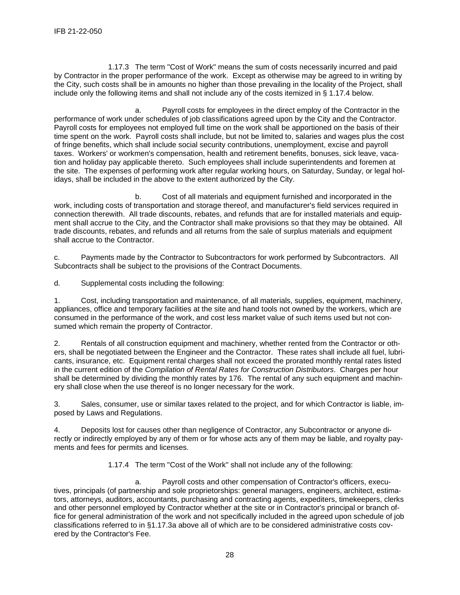1.17.3 The term "Cost of Work" means the sum of costs necessarily incurred and paid by Contractor in the proper performance of the work. Except as otherwise may be agreed to in writing by the City, such costs shall be in amounts no higher than those prevailing in the locality of the Project, shall include only the following items and shall not include any of the costs itemized in § 1.17.4 below.

a. Payroll costs for employees in the direct employ of the Contractor in the performance of work under schedules of job classifications agreed upon by the City and the Contractor. Payroll costs for employees not employed full time on the work shall be apportioned on the basis of their time spent on the work. Payroll costs shall include, but not be limited to, salaries and wages plus the cost of fringe benefits, which shall include social security contributions, unemployment, excise and payroll taxes. Workers' or workmen's compensation, health and retirement benefits, bonuses, sick leave, vacation and holiday pay applicable thereto. Such employees shall include superintendents and foremen at the site. The expenses of performing work after regular working hours, on Saturday, Sunday, or legal holidays, shall be included in the above to the extent authorized by the City.

b. Cost of all materials and equipment furnished and incorporated in the work, including costs of transportation and storage thereof, and manufacturer's field services required in connection therewith. All trade discounts, rebates, and refunds that are for installed materials and equipment shall accrue to the City, and the Contractor shall make provisions so that they may be obtained. All trade discounts, rebates, and refunds and all returns from the sale of surplus materials and equipment shall accrue to the Contractor.

c. Payments made by the Contractor to Subcontractors for work performed by Subcontractors. All Subcontracts shall be subject to the provisions of the Contract Documents.

d. Supplemental costs including the following:

1. Cost, including transportation and maintenance, of all materials, supplies, equipment, machinery, appliances, office and temporary facilities at the site and hand tools not owned by the workers, which are consumed in the performance of the work, and cost less market value of such items used but not consumed which remain the property of Contractor.

2. Rentals of all construction equipment and machinery, whether rented from the Contractor or others, shall be negotiated between the Engineer and the Contractor. These rates shall include all fuel, lubricants, insurance, etc. Equipment rental charges shall not exceed the prorated monthly rental rates listed in the current edition of the *Compilation of Rental Rates for Construction Distributors*. Charges per hour shall be determined by dividing the monthly rates by 176. The rental of any such equipment and machinery shall close when the use thereof is no longer necessary for the work.

3. Sales, consumer, use or similar taxes related to the project, and for which Contractor is liable, imposed by Laws and Regulations.

4. Deposits lost for causes other than negligence of Contractor, any Subcontractor or anyone directly or indirectly employed by any of them or for whose acts any of them may be liable, and royalty payments and fees for permits and licenses.

1.17.4 The term "Cost of the Work" shall not include any of the following:

a. Payroll costs and other compensation of Contractor's officers, executives, principals (of partnership and sole proprietorships: general managers, engineers, architect, estimators, attorneys, auditors, accountants, purchasing and contracting agents, expediters, timekeepers, clerks and other personnel employed by Contractor whether at the site or in Contractor's principal or branch office for general administration of the work and not specifically included in the agreed upon schedule of job classifications referred to in §1.17.3a above all of which are to be considered administrative costs covered by the Contractor's Fee.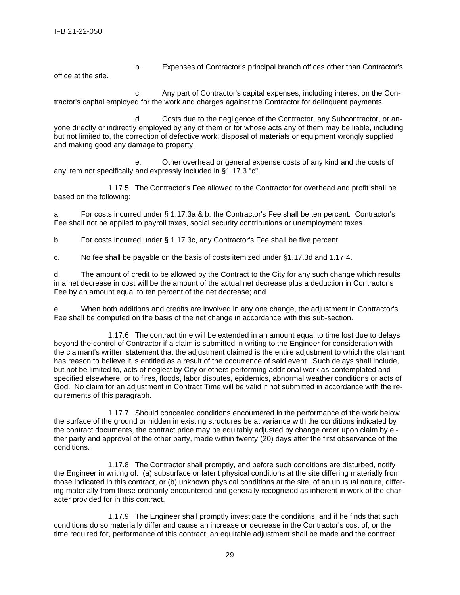b. Expenses of Contractor's principal branch offices other than Contractor's office at the site.

c. Any part of Contractor's capital expenses, including interest on the Contractor's capital employed for the work and charges against the Contractor for delinquent payments.

d. Costs due to the negligence of the Contractor, any Subcontractor, or anyone directly or indirectly employed by any of them or for whose acts any of them may be liable, including but not limited to, the correction of defective work, disposal of materials or equipment wrongly supplied and making good any damage to property.

e. Other overhead or general expense costs of any kind and the costs of any item not specifically and expressly included in §1.17.3 "c".

1.17.5 The Contractor's Fee allowed to the Contractor for overhead and profit shall be based on the following:

a. For costs incurred under § 1.17.3a & b, the Contractor's Fee shall be ten percent. Contractor's Fee shall not be applied to payroll taxes, social security contributions or unemployment taxes.

b. For costs incurred under § 1.17.3c, any Contractor's Fee shall be five percent.

c. No fee shall be payable on the basis of costs itemized under §1.17.3d and 1.17.4.

d. The amount of credit to be allowed by the Contract to the City for any such change which results in a net decrease in cost will be the amount of the actual net decrease plus a deduction in Contractor's Fee by an amount equal to ten percent of the net decrease; and

e. When both additions and credits are involved in any one change, the adjustment in Contractor's Fee shall be computed on the basis of the net change in accordance with this sub-section.

1.17.6 The contract time will be extended in an amount equal to time lost due to delays beyond the control of Contractor if a claim is submitted in writing to the Engineer for consideration with the claimant's written statement that the adjustment claimed is the entire adjustment to which the claimant has reason to believe it is entitled as a result of the occurrence of said event. Such delays shall include, but not be limited to, acts of neglect by City or others performing additional work as contemplated and specified elsewhere, or to fires, floods, labor disputes, epidemics, abnormal weather conditions or acts of God. No claim for an adjustment in Contract Time will be valid if not submitted in accordance with the requirements of this paragraph.

1.17.7 Should concealed conditions encountered in the performance of the work below the surface of the ground or hidden in existing structures be at variance with the conditions indicated by the contract documents, the contract price may be equitably adjusted by change order upon claim by either party and approval of the other party, made within twenty (20) days after the first observance of the conditions.

1.17.8 The Contractor shall promptly, and before such conditions are disturbed, notify the Engineer in writing of: (a) subsurface or latent physical conditions at the site differing materially from those indicated in this contract, or (b) unknown physical conditions at the site, of an unusual nature, differing materially from those ordinarily encountered and generally recognized as inherent in work of the character provided for in this contract.

1.17.9 The Engineer shall promptly investigate the conditions, and if he finds that such conditions do so materially differ and cause an increase or decrease in the Contractor's cost of, or the time required for, performance of this contract, an equitable adjustment shall be made and the contract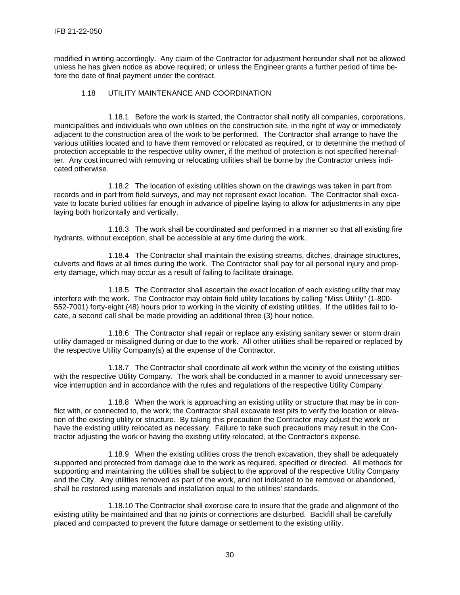modified in writing accordingly. Any claim of the Contractor for adjustment hereunder shall not be allowed unless he has given notice as above required; or unless the Engineer grants a further period of time before the date of final payment under the contract.

#### 1.18 UTILITY MAINTENANCE AND COORDINATION

1.18.1 Before the work is started, the Contractor shall notify all companies, corporations, municipalities and individuals who own utilities on the construction site, in the right of way or immediately adjacent to the construction area of the work to be performed. The Contractor shall arrange to have the various utilities located and to have them removed or relocated as required, or to determine the method of protection acceptable to the respective utility owner, if the method of protection is not specified hereinafter. Any cost incurred with removing or relocating utilities shall be borne by the Contractor unless indicated otherwise.

1.18.2 The location of existing utilities shown on the drawings was taken in part from records and in part from field surveys, and may not represent exact location. The Contractor shall excavate to locate buried utilities far enough in advance of pipeline laying to allow for adjustments in any pipe laying both horizontally and vertically.

1.18.3 The work shall be coordinated and performed in a manner so that all existing fire hydrants, without exception, shall be accessible at any time during the work.

1.18.4 The Contractor shall maintain the existing streams, ditches, drainage structures, culverts and flows at all times during the work. The Contractor shall pay for all personal injury and property damage, which may occur as a result of failing to facilitate drainage.

1.18.5 The Contractor shall ascertain the exact location of each existing utility that may interfere with the work. The Contractor may obtain field utility locations by calling "Miss Utility" (1-800- 552-7001) forty-eight (48) hours prior to working in the vicinity of existing utilities. If the utilities fail to locate, a second call shall be made providing an additional three (3) hour notice.

1.18.6 The Contractor shall repair or replace any existing sanitary sewer or storm drain utility damaged or misaligned during or due to the work. All other utilities shall be repaired or replaced by the respective Utility Company(s) at the expense of the Contractor.

1.18.7 The Contractor shall coordinate all work within the vicinity of the existing utilities with the respective Utility Company. The work shall be conducted in a manner to avoid unnecessary service interruption and in accordance with the rules and regulations of the respective Utility Company.

1.18.8 When the work is approaching an existing utility or structure that may be in conflict with, or connected to, the work; the Contractor shall excavate test pits to verify the location or elevation of the existing utility or structure. By taking this precaution the Contractor may adjust the work or have the existing utility relocated as necessary. Failure to take such precautions may result in the Contractor adjusting the work or having the existing utility relocated, at the Contractor's expense.

1.18.9 When the existing utilities cross the trench excavation, they shall be adequately supported and protected from damage due to the work as required, specified or directed. All methods for supporting and maintaining the utilities shall be subject to the approval of the respective Utility Company and the City. Any utilities removed as part of the work, and not indicated to be removed or abandoned, shall be restored using materials and installation equal to the utilities' standards.

1.18.10 The Contractor shall exercise care to insure that the grade and alignment of the existing utility be maintained and that no joints or connections are disturbed. Backfill shall be carefully placed and compacted to prevent the future damage or settlement to the existing utility.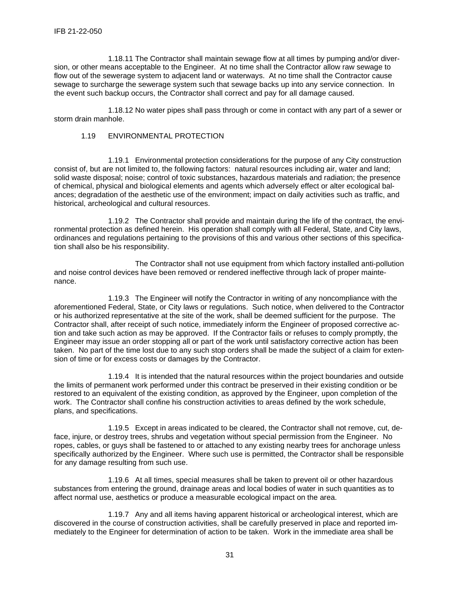1.18.11 The Contractor shall maintain sewage flow at all times by pumping and/or diversion, or other means acceptable to the Engineer. At no time shall the Contractor allow raw sewage to flow out of the sewerage system to adjacent land or waterways. At no time shall the Contractor cause sewage to surcharge the sewerage system such that sewage backs up into any service connection. In the event such backup occurs, the Contractor shall correct and pay for all damage caused.

1.18.12 No water pipes shall pass through or come in contact with any part of a sewer or storm drain manhole.

#### 1.19 ENVIRONMENTAL PROTECTION

1.19.1 Environmental protection considerations for the purpose of any City construction consist of, but are not limited to, the following factors: natural resources including air, water and land; solid waste disposal; noise; control of toxic substances, hazardous materials and radiation; the presence of chemical, physical and biological elements and agents which adversely effect or alter ecological balances; degradation of the aesthetic use of the environment; impact on daily activities such as traffic, and historical, archeological and cultural resources.

1.19.2 The Contractor shall provide and maintain during the life of the contract, the environmental protection as defined herein. His operation shall comply with all Federal, State, and City laws, ordinances and regulations pertaining to the provisions of this and various other sections of this specification shall also be his responsibility.

The Contractor shall not use equipment from which factory installed anti-pollution and noise control devices have been removed or rendered ineffective through lack of proper maintenance.

1.19.3 The Engineer will notify the Contractor in writing of any noncompliance with the aforementioned Federal, State, or City laws or regulations. Such notice, when delivered to the Contractor or his authorized representative at the site of the work, shall be deemed sufficient for the purpose. The Contractor shall, after receipt of such notice, immediately inform the Engineer of proposed corrective action and take such action as may be approved. If the Contractor fails or refuses to comply promptly, the Engineer may issue an order stopping all or part of the work until satisfactory corrective action has been taken. No part of the time lost due to any such stop orders shall be made the subject of a claim for extension of time or for excess costs or damages by the Contractor.

1.19.4 It is intended that the natural resources within the project boundaries and outside the limits of permanent work performed under this contract be preserved in their existing condition or be restored to an equivalent of the existing condition, as approved by the Engineer, upon completion of the work. The Contractor shall confine his construction activities to areas defined by the work schedule, plans, and specifications.

1.19.5 Except in areas indicated to be cleared, the Contractor shall not remove, cut, deface, injure, or destroy trees, shrubs and vegetation without special permission from the Engineer. No ropes, cables, or guys shall be fastened to or attached to any existing nearby trees for anchorage unless specifically authorized by the Engineer. Where such use is permitted, the Contractor shall be responsible for any damage resulting from such use.

1.19.6 At all times, special measures shall be taken to prevent oil or other hazardous substances from entering the ground, drainage areas and local bodies of water in such quantities as to affect normal use, aesthetics or produce a measurable ecological impact on the area.

1.19.7 Any and all items having apparent historical or archeological interest, which are discovered in the course of construction activities, shall be carefully preserved in place and reported immediately to the Engineer for determination of action to be taken. Work in the immediate area shall be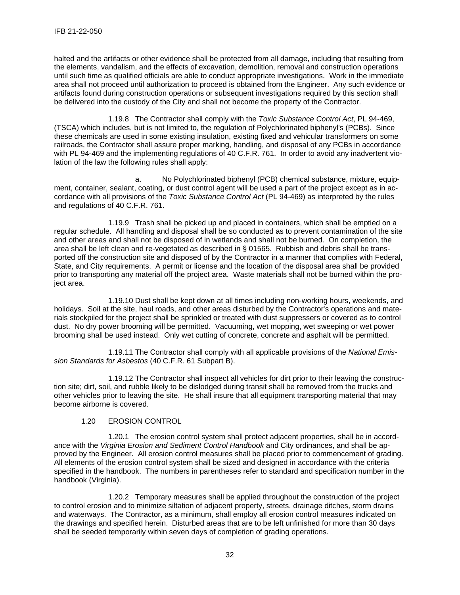halted and the artifacts or other evidence shall be protected from all damage, including that resulting from the elements, vandalism, and the effects of excavation, demolition, removal and construction operations until such time as qualified officials are able to conduct appropriate investigations. Work in the immediate area shall not proceed until authorization to proceed is obtained from the Engineer. Any such evidence or artifacts found during construction operations or subsequent investigations required by this section shall be delivered into the custody of the City and shall not become the property of the Contractor.

1.19.8 The Contractor shall comply with the *Toxic Substance Control Act*, PL 94-469, (TSCA) which includes, but is not limited to, the regulation of Polychlorinated biphenyl's (PCBs). Since these chemicals are used in some existing insulation, existing fixed and vehicular transformers on some railroads, the Contractor shall assure proper marking, handling, and disposal of any PCBs in accordance with PL 94-469 and the implementing regulations of 40 C.F.R. 761. In order to avoid any inadvertent violation of the law the following rules shall apply:

a. No Polychlorinated biphenyl (PCB) chemical substance, mixture, equipment, container, sealant, coating, or dust control agent will be used a part of the project except as in accordance with all provisions of the *Toxic Substance Control Act* (PL 94-469) as interpreted by the rules and regulations of 40 C.F.R. 761.

1.19.9 Trash shall be picked up and placed in containers, which shall be emptied on a regular schedule. All handling and disposal shall be so conducted as to prevent contamination of the site and other areas and shall not be disposed of in wetlands and shall not be burned. On completion, the area shall be left clean and re-vegetated as described in § 01565. Rubbish and debris shall be transported off the construction site and disposed of by the Contractor in a manner that complies with Federal, State, and City requirements. A permit or license and the location of the disposal area shall be provided prior to transporting any material off the project area. Waste materials shall not be burned within the project area.

1.19.10 Dust shall be kept down at all times including non-working hours, weekends, and holidays. Soil at the site, haul roads, and other areas disturbed by the Contractor's operations and materials stockpiled for the project shall be sprinkled or treated with dust suppressers or covered as to control dust. No dry power brooming will be permitted. Vacuuming, wet mopping, wet sweeping or wet power brooming shall be used instead. Only wet cutting of concrete, concrete and asphalt will be permitted.

1.19.11 The Contractor shall comply with all applicable provisions of the *National Emission Standards for Asbestos* (40 C.F.R. 61 Subpart B).

1.19.12 The Contractor shall inspect all vehicles for dirt prior to their leaving the construction site; dirt, soil, and rubble likely to be dislodged during transit shall be removed from the trucks and other vehicles prior to leaving the site. He shall insure that all equipment transporting material that may become airborne is covered.

#### 1.20 EROSION CONTROL

1.20.1 The erosion control system shall protect adjacent properties, shall be in accordance with the *Virginia Erosion and Sediment Control Handbook* and City ordinances, and shall be approved by the Engineer. All erosion control measures shall be placed prior to commencement of grading. All elements of the erosion control system shall be sized and designed in accordance with the criteria specified in the handbook. The numbers in parentheses refer to standard and specification number in the handbook (Virginia).

1.20.2 Temporary measures shall be applied throughout the construction of the project to control erosion and to minimize siltation of adjacent property, streets, drainage ditches, storm drains and waterways. The Contractor, as a minimum, shall employ all erosion control measures indicated on the drawings and specified herein. Disturbed areas that are to be left unfinished for more than 30 days shall be seeded temporarily within seven days of completion of grading operations.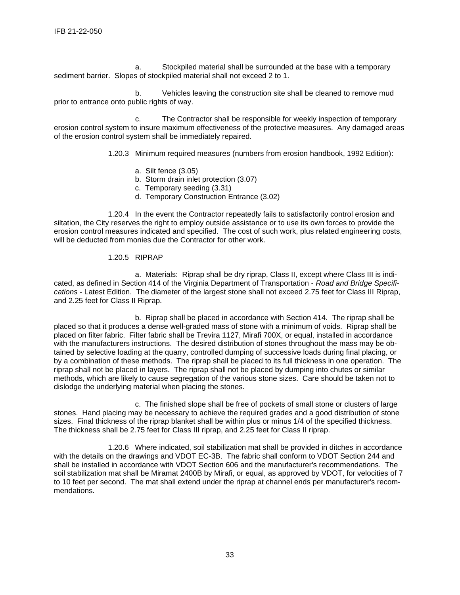a. Stockpiled material shall be surrounded at the base with a temporary sediment barrier. Slopes of stockpiled material shall not exceed 2 to 1.

b. Vehicles leaving the construction site shall be cleaned to remove mud prior to entrance onto public rights of way.

c. The Contractor shall be responsible for weekly inspection of temporary erosion control system to insure maximum effectiveness of the protective measures. Any damaged areas of the erosion control system shall be immediately repaired.

1.20.3 Minimum required measures (numbers from erosion handbook, 1992 Edition):

- a. Silt fence (3.05)
- b. Storm drain inlet protection (3.07)
- c. Temporary seeding (3.31)
- d. Temporary Construction Entrance (3.02)

1.20.4 In the event the Contractor repeatedly fails to satisfactorily control erosion and siltation, the City reserves the right to employ outside assistance or to use its own forces to provide the erosion control measures indicated and specified. The cost of such work, plus related engineering costs, will be deducted from monies due the Contractor for other work.

#### 1.20.5 RIPRAP

a. Materials: Riprap shall be dry riprap, Class II, except where Class III is indicated, as defined in Section 414 of the Virginia Department of Transportation - *Road and Bridge Specifications* - Latest Edition. The diameter of the largest stone shall not exceed 2.75 feet for Class III Riprap, and 2.25 feet for Class II Riprap.

b. Riprap shall be placed in accordance with Section 414. The riprap shall be placed so that it produces a dense well-graded mass of stone with a minimum of voids. Riprap shall be placed on filter fabric. Filter fabric shall be Trevira 1127, Mirafi 700X, or equal, installed in accordance with the manufacturers instructions. The desired distribution of stones throughout the mass may be obtained by selective loading at the quarry, controlled dumping of successive loads during final placing, or by a combination of these methods. The riprap shall be placed to its full thickness in one operation. The riprap shall not be placed in layers. The riprap shall not be placed by dumping into chutes or similar methods, which are likely to cause segregation of the various stone sizes. Care should be taken not to dislodge the underlying material when placing the stones.

c. The finished slope shall be free of pockets of small stone or clusters of large stones. Hand placing may be necessary to achieve the required grades and a good distribution of stone sizes. Final thickness of the riprap blanket shall be within plus or minus 1/4 of the specified thickness. The thickness shall be 2.75 feet for Class III riprap, and 2.25 feet for Class II riprap.

1.20.6 Where indicated, soil stabilization mat shall be provided in ditches in accordance with the details on the drawings and VDOT EC-3B. The fabric shall conform to VDOT Section 244 and shall be installed in accordance with VDOT Section 606 and the manufacturer's recommendations. The soil stabilization mat shall be Miramat 2400B by Mirafi, or equal, as approved by VDOT, for velocities of 7 to 10 feet per second. The mat shall extend under the riprap at channel ends per manufacturer's recommendations.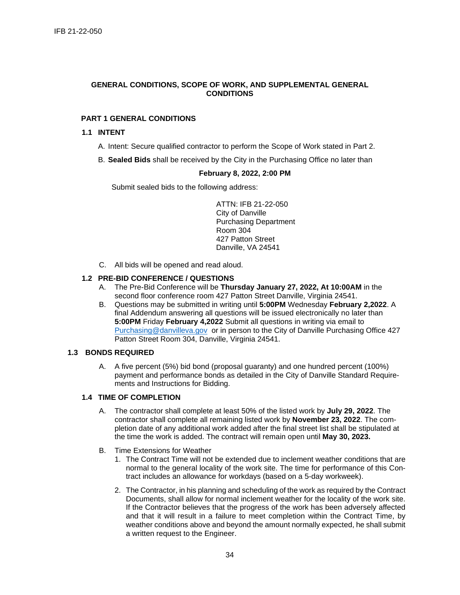#### **GENERAL CONDITIONS, SCOPE OF WORK, AND SUPPLEMENTAL GENERAL CONDITIONS**

#### **PART 1 GENERAL CONDITIONS**

#### **1.1 INTENT**

- A. Intent: Secure qualified contractor to perform the Scope of Work stated in Part 2.
- B. **Sealed Bids** shall be received by the City in the Purchasing Office no later than

#### **February 8, 2022, 2:00 PM**

Submit sealed bids to the following address:

ATTN: IFB 21-22-050 City of Danville Purchasing Department Room 304 427 Patton Street Danville, VA 24541

C. All bids will be opened and read aloud.

#### **1.2 PRE-BID CONFERENCE / QUESTIONS**

- A. The Pre-Bid Conference will be **Thursday January 27, 2022, At 10:00AM** in the second floor conference room 427 Patton Street Danville, Virginia 24541.
- B. Questions may be submitted in writing until **5:00PM** Wednesday **February 2,2022**. A final Addendum answering all questions will be issued electronically no later than **5:00PM** Friday **February 4,2022** Submit all questions in writing via email to [Purchasing@danvilleva.gov](mailto:Purchasing@danvilleva.gov) or in person to the City of Danville Purchasing Office 427 Patton Street Room 304, Danville, Virginia 24541.

#### **1.3 BONDS REQUIRED**

A. A five percent (5%) bid bond (proposal guaranty) and one hundred percent (100%) payment and performance bonds as detailed in the City of Danville Standard Requirements and Instructions for Bidding.

#### **1.4 TIME OF COMPLETION**

- A. The contractor shall complete at least 50% of the listed work by **July 29, 2022**. The contractor shall complete all remaining listed work by **November 23, 2022**. The completion date of any additional work added after the final street list shall be stipulated at the time the work is added. The contract will remain open until **May 30, 2023.**
- B. Time Extensions for Weather
	- 1. The Contract Time will not be extended due to inclement weather conditions that are normal to the general locality of the work site. The time for performance of this Contract includes an allowance for workdays (based on a 5-day workweek).
	- 2. The Contractor, in his planning and scheduling of the work as required by the Contract Documents, shall allow for normal inclement weather for the locality of the work site. If the Contractor believes that the progress of the work has been adversely affected and that it will result in a failure to meet completion within the Contract Time, by weather conditions above and beyond the amount normally expected, he shall submit a written request to the Engineer.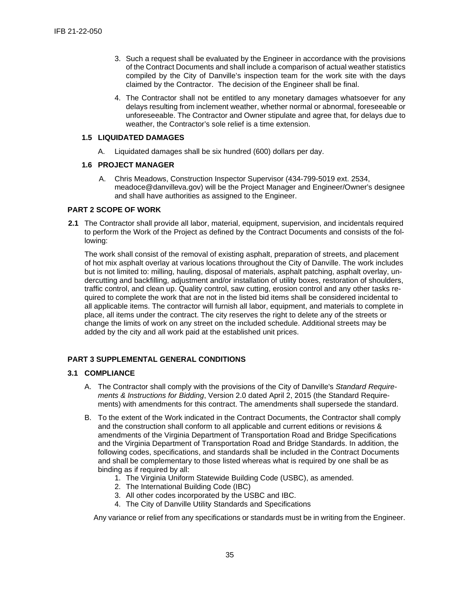- 3. Such a request shall be evaluated by the Engineer in accordance with the provisions of the Contract Documents and shall include a comparison of actual weather statistics compiled by the City of Danville's inspection team for the work site with the days claimed by the Contractor. The decision of the Engineer shall be final.
- 4. The Contractor shall not be entitled to any monetary damages whatsoever for any delays resulting from inclement weather, whether normal or abnormal, foreseeable or unforeseeable. The Contractor and Owner stipulate and agree that, for delays due to weather, the Contractor's sole relief is a time extension.

#### **1.5 LIQUIDATED DAMAGES**

A. Liquidated damages shall be six hundred (600) dollars per day.

#### **1.6 PROJECT MANAGER**

A. Chris Meadows, Construction Inspector Supervisor (434-799-5019 ext. 2534, meadoce@danvilleva.gov) will be the Project Manager and Engineer/Owner's designee and shall have authorities as assigned to the Engineer.

#### **PART 2 SCOPE OF WORK**

**2.1** The Contractor shall provide all labor, material, equipment, supervision, and incidentals required to perform the Work of the Project as defined by the Contract Documents and consists of the following:

The work shall consist of the removal of existing asphalt, preparation of streets, and placement of hot mix asphalt overlay at various locations throughout the City of Danville. The work includes but is not limited to: milling, hauling, disposal of materials, asphalt patching, asphalt overlay, undercutting and backfilling, adjustment and/or installation of utility boxes, restoration of shoulders, traffic control, and clean up. Quality control, saw cutting, erosion control and any other tasks required to complete the work that are not in the listed bid items shall be considered incidental to all applicable items. The contractor will furnish all labor, equipment, and materials to complete in place, all items under the contract. The city reserves the right to delete any of the streets or change the limits of work on any street on the included schedule. Additional streets may be added by the city and all work paid at the established unit prices.

#### **PART 3 SUPPLEMENTAL GENERAL CONDITIONS**

#### **3.1 COMPLIANCE**

- A. The Contractor shall comply with the provisions of the City of Danville's *Standard Requirements & Instructions for Bidding*, Version 2.0 dated April 2, 2015 (the Standard Requirements) with amendments for this contract. The amendments shall supersede the standard.
- B. To the extent of the Work indicated in the Contract Documents, the Contractor shall comply and the construction shall conform to all applicable and current editions or revisions & amendments of the Virginia Department of Transportation Road and Bridge Specifications and the Virginia Department of Transportation Road and Bridge Standards. In addition, the following codes, specifications, and standards shall be included in the Contract Documents and shall be complementary to those listed whereas what is required by one shall be as binding as if required by all:
	- 1. The Virginia Uniform Statewide Building Code (USBC), as amended.
	- 2. The International Building Code (IBC)
	- 3. All other codes incorporated by the USBC and IBC.
	- 4. The City of Danville Utility Standards and Specifications

Any variance or relief from any specifications or standards must be in writing from the Engineer.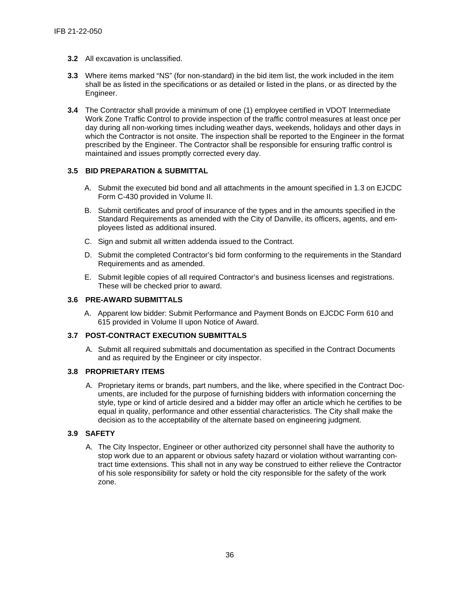- **3.2** All excavation is unclassified.
- **3.3** Where items marked "NS" (for non-standard) in the bid item list, the work included in the item shall be as listed in the specifications or as detailed or listed in the plans, or as directed by the Engineer.
- **3.4** The Contractor shall provide a minimum of one (1) employee certified in VDOT Intermediate Work Zone Traffic Control to provide inspection of the traffic control measures at least once per day during all non-working times including weather days, weekends, holidays and other days in which the Contractor is not onsite. The inspection shall be reported to the Engineer in the format prescribed by the Engineer. The Contractor shall be responsible for ensuring traffic control is maintained and issues promptly corrected every day.

#### **3.5 BID PREPARATION & SUBMITTAL**

- A. Submit the executed bid bond and all attachments in the amount specified in 1.3 on EJCDC Form C-430 provided in Volume II.
- B. Submit certificates and proof of insurance of the types and in the amounts specified in the Standard Requirements as amended with the City of Danville, its officers, agents, and employees listed as additional insured.
- C. Sign and submit all written addenda issued to the Contract.
- D. Submit the completed Contractor's bid form conforming to the requirements in the Standard Requirements and as amended.
- E. Submit legible copies of all required Contractor's and business licenses and registrations. These will be checked prior to award.

#### **3.6 PRE-AWARD SUBMITTALS**

A. Apparent low bidder: Submit Performance and Payment Bonds on EJCDC Form 610 and 615 provided in Volume II upon Notice of Award.

#### **3.7 POST-CONTRACT EXECUTION SUBMITTALS**

A. Submit all required submittals and documentation as specified in the Contract Documents and as required by the Engineer or city inspector.

#### **3.8 PROPRIETARY ITEMS**

A. Proprietary items or brands, part numbers, and the like, where specified in the Contract Documents, are included for the purpose of furnishing bidders with information concerning the style, type or kind of article desired and a bidder may offer an article which he certifies to be equal in quality, performance and other essential characteristics. The City shall make the decision as to the acceptability of the alternate based on engineering judgment.

#### **3.9 SAFETY**

A. The City Inspector, Engineer or other authorized city personnel shall have the authority to stop work due to an apparent or obvious safety hazard or violation without warranting contract time extensions. This shall not in any way be construed to either relieve the Contractor of his sole responsibility for safety or hold the city responsible for the safety of the work zone.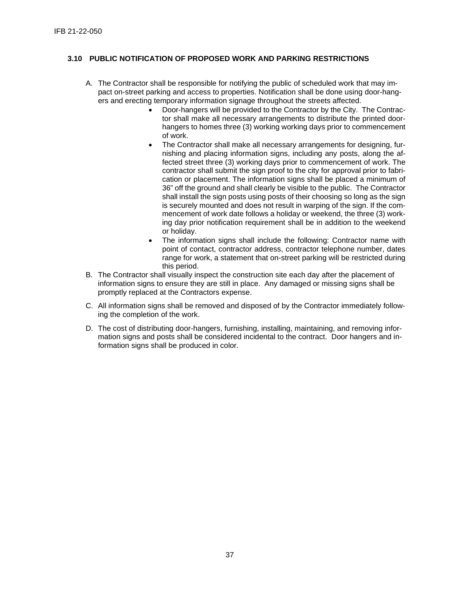#### **3.10 PUBLIC NOTIFICATION OF PROPOSED WORK AND PARKING RESTRICTIONS**

- A. The Contractor shall be responsible for notifying the public of scheduled work that may impact on-street parking and access to properties. Notification shall be done using door-hangers and erecting temporary information signage throughout the streets affected.
	- Door-hangers will be provided to the Contractor by the City. The Contractor shall make all necessary arrangements to distribute the printed doorhangers to homes three (3) working working days prior to commencement of work.
	- The Contractor shall make all necessary arrangements for designing, furnishing and placing information signs, including any posts, along the affected street three (3) working days prior to commencement of work. The contractor shall submit the sign proof to the city for approval prior to fabrication or placement. The information signs shall be placed a minimum of 36" off the ground and shall clearly be visible to the public. The Contractor shall install the sign posts using posts of their choosing so long as the sign is securely mounted and does not result in warping of the sign. If the commencement of work date follows a holiday or weekend, the three (3) working day prior notification requirement shall be in addition to the weekend or holiday.
	- The information signs shall include the following: Contractor name with point of contact, contractor address, contractor telephone number, dates range for work, a statement that on-street parking will be restricted during this period.
- B. The Contractor shall visually inspect the construction site each day after the placement of information signs to ensure they are still in place. Any damaged or missing signs shall be promptly replaced at the Contractors expense.
- C. All information signs shall be removed and disposed of by the Contractor immediately following the completion of the work.
- D. The cost of distributing door-hangers, furnishing, installing, maintaining, and removing information signs and posts shall be considered incidental to the contract. Door hangers and information signs shall be produced in color.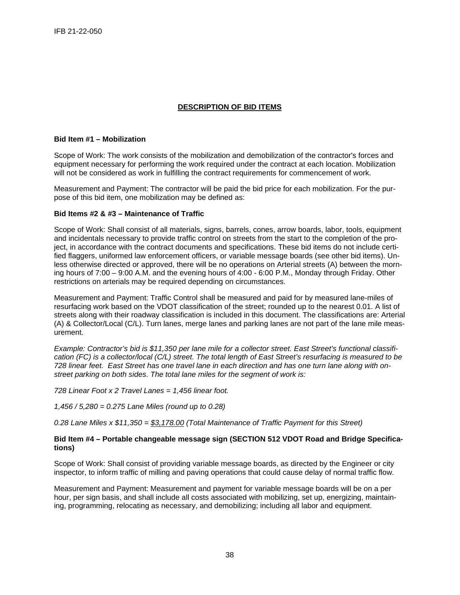#### **DESCRIPTION OF BID ITEMS**

#### **Bid Item #1 – Mobilization**

Scope of Work: The work consists of the mobilization and demobilization of the contractor's forces and equipment necessary for performing the work required under the contract at each location. Mobilization will not be considered as work in fulfilling the contract requirements for commencement of work.

Measurement and Payment: The contractor will be paid the bid price for each mobilization. For the purpose of this bid item, one mobilization may be defined as:

#### **Bid Items #2 & #3 – Maintenance of Traffic**

Scope of Work: Shall consist of all materials, signs, barrels, cones, arrow boards, labor, tools, equipment and incidentals necessary to provide traffic control on streets from the start to the completion of the project, in accordance with the contract documents and specifications. These bid items do not include certified flaggers, uniformed law enforcement officers, or variable message boards (see other bid items). Unless otherwise directed or approved, there will be no operations on Arterial streets (A) between the morning hours of 7:00 – 9:00 A.M. and the evening hours of 4:00 - 6:00 P.M., Monday through Friday. Other restrictions on arterials may be required depending on circumstances.

Measurement and Payment: Traffic Control shall be measured and paid for by measured lane-miles of resurfacing work based on the VDOT classification of the street; rounded up to the nearest 0.01. A list of streets along with their roadway classification is included in this document. The classifications are: Arterial (A) & Collector/Local (C/L). Turn lanes, merge lanes and parking lanes are not part of the lane mile measurement.

*Example: Contractor's bid is \$11,350 per lane mile for a collector street. East Street's functional classification (FC) is a collector/local (C/L) street. The total length of East Street's resurfacing is measured to be 728 linear feet. East Street has one travel lane in each direction and has one turn lane along with onstreet parking on both sides. The total lane miles for the segment of work is:*

*728 Linear Foot x 2 Travel Lanes = 1,456 linear foot.*

#### *1,456 / 5,280 = 0.275 Lane Miles (round up to 0.28)*

*0.28 Lane Miles x \$11,350 = \$3,178.00 (Total Maintenance of Traffic Payment for this Street)*

#### **Bid Item #4 – Portable changeable message sign (SECTION 512 VDOT Road and Bridge Specifications)**

Scope of Work: Shall consist of providing variable message boards, as directed by the Engineer or city inspector, to inform traffic of milling and paving operations that could cause delay of normal traffic flow.

Measurement and Payment: Measurement and payment for variable message boards will be on a per hour, per sign basis, and shall include all costs associated with mobilizing, set up, energizing, maintaining, programming, relocating as necessary, and demobilizing; including all labor and equipment.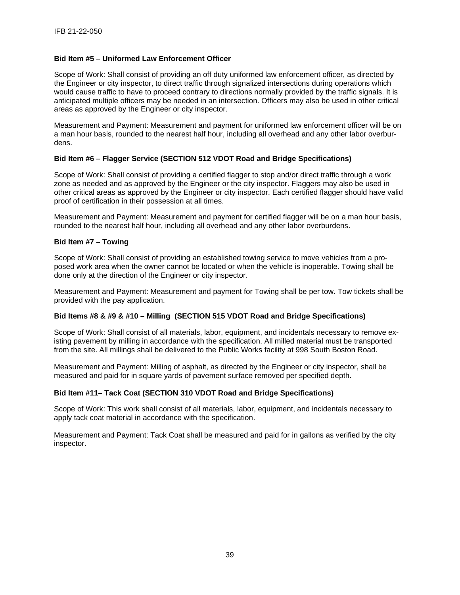#### **Bid Item #5 – Uniformed Law Enforcement Officer**

Scope of Work: Shall consist of providing an off duty uniformed law enforcement officer, as directed by the Engineer or city inspector, to direct traffic through signalized intersections during operations which would cause traffic to have to proceed contrary to directions normally provided by the traffic signals. It is anticipated multiple officers may be needed in an intersection. Officers may also be used in other critical areas as approved by the Engineer or city inspector.

Measurement and Payment: Measurement and payment for uniformed law enforcement officer will be on a man hour basis, rounded to the nearest half hour, including all overhead and any other labor overburdens.

#### **Bid Item #6 – Flagger Service (SECTION 512 VDOT Road and Bridge Specifications)**

Scope of Work: Shall consist of providing a certified flagger to stop and/or direct traffic through a work zone as needed and as approved by the Engineer or the city inspector. Flaggers may also be used in other critical areas as approved by the Engineer or city inspector. Each certified flagger should have valid proof of certification in their possession at all times.

Measurement and Payment: Measurement and payment for certified flagger will be on a man hour basis, rounded to the nearest half hour, including all overhead and any other labor overburdens.

#### **Bid Item #7 – Towing**

Scope of Work: Shall consist of providing an established towing service to move vehicles from a proposed work area when the owner cannot be located or when the vehicle is inoperable. Towing shall be done only at the direction of the Engineer or city inspector.

Measurement and Payment: Measurement and payment for Towing shall be per tow. Tow tickets shall be provided with the pay application.

#### **Bid Items #8 & #9 & #10 – Milling (SECTION 515 VDOT Road and Bridge Specifications)**

Scope of Work: Shall consist of all materials, labor, equipment, and incidentals necessary to remove existing pavement by milling in accordance with the specification. All milled material must be transported from the site. All millings shall be delivered to the Public Works facility at 998 South Boston Road.

Measurement and Payment: Milling of asphalt, as directed by the Engineer or city inspector, shall be measured and paid for in square yards of pavement surface removed per specified depth.

#### **Bid Item #11– Tack Coat (SECTION 310 VDOT Road and Bridge Specifications)**

Scope of Work: This work shall consist of all materials, labor, equipment, and incidentals necessary to apply tack coat material in accordance with the specification.

Measurement and Payment: Tack Coat shall be measured and paid for in gallons as verified by the city inspector.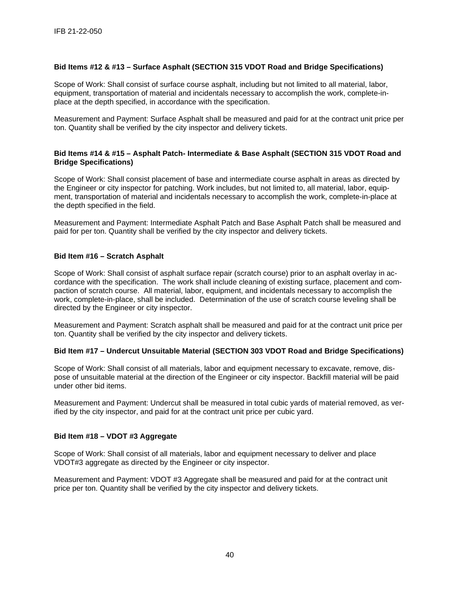#### **Bid Items #12 & #13 – Surface Asphalt (SECTION 315 VDOT Road and Bridge Specifications)**

Scope of Work: Shall consist of surface course asphalt, including but not limited to all material, labor, equipment, transportation of material and incidentals necessary to accomplish the work, complete-inplace at the depth specified, in accordance with the specification.

Measurement and Payment: Surface Asphalt shall be measured and paid for at the contract unit price per ton. Quantity shall be verified by the city inspector and delivery tickets.

#### **Bid Items #14 & #15 – Asphalt Patch- Intermediate & Base Asphalt (SECTION 315 VDOT Road and Bridge Specifications)**

Scope of Work: Shall consist placement of base and intermediate course asphalt in areas as directed by the Engineer or city inspector for patching. Work includes, but not limited to, all material, labor, equipment, transportation of material and incidentals necessary to accomplish the work, complete-in-place at the depth specified in the field.

Measurement and Payment: Intermediate Asphalt Patch and Base Asphalt Patch shall be measured and paid for per ton. Quantity shall be verified by the city inspector and delivery tickets.

#### **Bid Item #16 – Scratch Asphalt**

Scope of Work: Shall consist of asphalt surface repair (scratch course) prior to an asphalt overlay in accordance with the specification. The work shall include cleaning of existing surface, placement and compaction of scratch course. All material, labor, equipment, and incidentals necessary to accomplish the work, complete-in-place, shall be included. Determination of the use of scratch course leveling shall be directed by the Engineer or city inspector.

Measurement and Payment: Scratch asphalt shall be measured and paid for at the contract unit price per ton. Quantity shall be verified by the city inspector and delivery tickets.

#### **Bid Item #17 – Undercut Unsuitable Material (SECTION 303 VDOT Road and Bridge Specifications)**

Scope of Work: Shall consist of all materials, labor and equipment necessary to excavate, remove, dispose of unsuitable material at the direction of the Engineer or city inspector. Backfill material will be paid under other bid items.

Measurement and Payment: Undercut shall be measured in total cubic yards of material removed, as verified by the city inspector, and paid for at the contract unit price per cubic yard.

#### **Bid Item #18 – VDOT #3 Aggregate**

Scope of Work: Shall consist of all materials, labor and equipment necessary to deliver and place VDOT#3 aggregate as directed by the Engineer or city inspector.

Measurement and Payment: VDOT #3 Aggregate shall be measured and paid for at the contract unit price per ton. Quantity shall be verified by the city inspector and delivery tickets.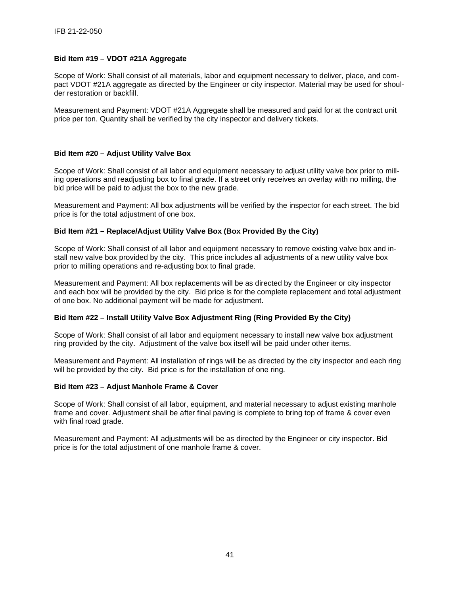#### **Bid Item #19 – VDOT #21A Aggregate**

Scope of Work: Shall consist of all materials, labor and equipment necessary to deliver, place, and compact VDOT #21A aggregate as directed by the Engineer or city inspector. Material may be used for shoulder restoration or backfill.

Measurement and Payment: VDOT #21A Aggregate shall be measured and paid for at the contract unit price per ton. Quantity shall be verified by the city inspector and delivery tickets.

#### **Bid Item #20 – Adjust Utility Valve Box**

Scope of Work: Shall consist of all labor and equipment necessary to adjust utility valve box prior to milling operations and readjusting box to final grade. If a street only receives an overlay with no milling, the bid price will be paid to adjust the box to the new grade.

Measurement and Payment: All box adjustments will be verified by the inspector for each street. The bid price is for the total adjustment of one box.

#### **Bid Item #21 – Replace/Adjust Utility Valve Box (Box Provided By the City)**

Scope of Work: Shall consist of all labor and equipment necessary to remove existing valve box and install new valve box provided by the city. This price includes all adjustments of a new utility valve box prior to milling operations and re-adjusting box to final grade.

Measurement and Payment: All box replacements will be as directed by the Engineer or city inspector and each box will be provided by the city. Bid price is for the complete replacement and total adjustment of one box. No additional payment will be made for adjustment.

#### **Bid Item #22 – Install Utility Valve Box Adjustment Ring (Ring Provided By the City)**

Scope of Work: Shall consist of all labor and equipment necessary to install new valve box adjustment ring provided by the city. Adjustment of the valve box itself will be paid under other items.

Measurement and Payment: All installation of rings will be as directed by the city inspector and each ring will be provided by the city. Bid price is for the installation of one ring.

#### **Bid Item #23 – Adjust Manhole Frame & Cover**

Scope of Work: Shall consist of all labor, equipment, and material necessary to adjust existing manhole frame and cover. Adjustment shall be after final paving is complete to bring top of frame & cover even with final road grade.

Measurement and Payment: All adjustments will be as directed by the Engineer or city inspector. Bid price is for the total adjustment of one manhole frame & cover.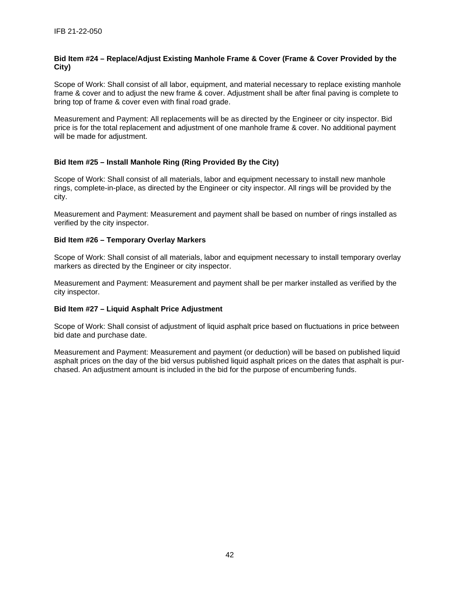#### **Bid Item #24 – Replace/Adjust Existing Manhole Frame & Cover (Frame & Cover Provided by the City)**

Scope of Work: Shall consist of all labor, equipment, and material necessary to replace existing manhole frame & cover and to adjust the new frame & cover. Adjustment shall be after final paving is complete to bring top of frame & cover even with final road grade.

Measurement and Payment: All replacements will be as directed by the Engineer or city inspector. Bid price is for the total replacement and adjustment of one manhole frame & cover. No additional payment will be made for adjustment.

#### **Bid Item #25 – Install Manhole Ring (Ring Provided By the City)**

Scope of Work: Shall consist of all materials, labor and equipment necessary to install new manhole rings, complete-in-place, as directed by the Engineer or city inspector. All rings will be provided by the city.

Measurement and Payment: Measurement and payment shall be based on number of rings installed as verified by the city inspector.

#### **Bid Item #26 – Temporary Overlay Markers**

Scope of Work: Shall consist of all materials, labor and equipment necessary to install temporary overlay markers as directed by the Engineer or city inspector.

Measurement and Payment: Measurement and payment shall be per marker installed as verified by the city inspector.

#### **Bid Item #27 – Liquid Asphalt Price Adjustment**

Scope of Work: Shall consist of adjustment of liquid asphalt price based on fluctuations in price between bid date and purchase date.

Measurement and Payment: Measurement and payment (or deduction) will be based on published liquid asphalt prices on the day of the bid versus published liquid asphalt prices on the dates that asphalt is purchased. An adjustment amount is included in the bid for the purpose of encumbering funds.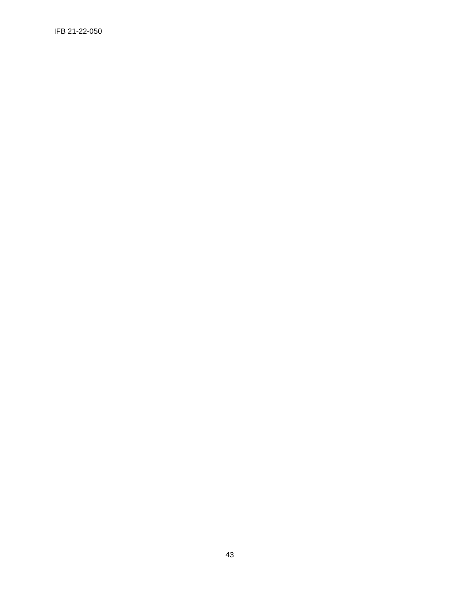IFB 21-22-050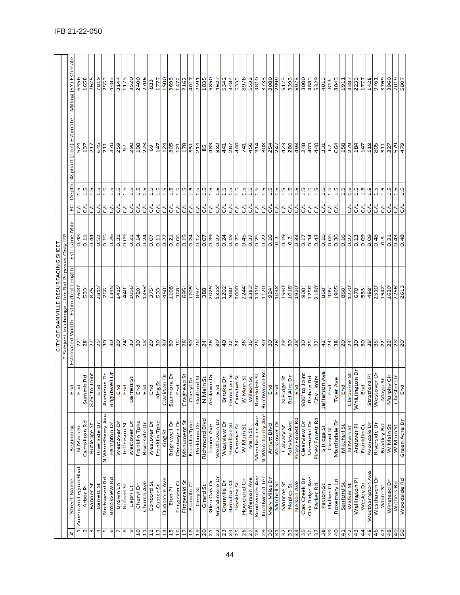|                 |                      |                 |                            |                                                                                                                                                                                                                                                                                                                     | Subject to change - for Bid Puposes Only IFB<br>CITY OF DANVILLE RESURFACING SHEET |                                                                                                                                                                                                                                                                                                                                                                                                                                    |                   |                 |                        |                       |
|-----------------|----------------------|-----------------|----------------------------|---------------------------------------------------------------------------------------------------------------------------------------------------------------------------------------------------------------------------------------------------------------------------------------------------------------------|------------------------------------------------------------------------------------|------------------------------------------------------------------------------------------------------------------------------------------------------------------------------------------------------------------------------------------------------------------------------------------------------------------------------------------------------------------------------------------------------------------------------------|-------------------|-----------------|------------------------|-----------------------|
| $\pmb{\sharp}$  | Street Name          | Beginning       | End                        | Estimated Width                                                                                                                                                                                                                                                                                                     | Estimated Length                                                                   | Mile<br>Lane<br>Est.                                                                                                                                                                                                                                                                                                                                                                                                               | FC                | Depth           | Asphalt (Ton) Estimate | Milling (SY) Estimate |
| $\overline{ }$  | American Legion Blvd | N Main St       | End                        |                                                                                                                                                                                                                                                                                                                     | 2600'                                                                              | 0.48                                                                                                                                                                                                                                                                                                                                                                                                                               | 5                 | 1.5             | 524                    | 6356                  |
| 2               | Arbor Pl             | Carrollton Rd   | Summit Rd                  |                                                                                                                                                                                                                                                                                                                     | $\overline{53}$                                                                    | 0.11                                                                                                                                                                                                                                                                                                                                                                                                                               | C/L               | lm<br>$\vec{r}$ | 137                    | 1658                  |
| w               | Banner St            | Rutledge St     | 875' to Joint              | $\overline{27}$                                                                                                                                                                                                                                                                                                     | 875'                                                                               | 0.44                                                                                                                                                                                                                                                                                                                                                                                                                               | $\overline{c}$    | Lŋ<br>$\vec{r}$ | 217                    | 2625                  |
| 4               | Barrett St           | Riverside Dr    | End                        | $\overline{5}$                                                                                                                                                                                                                                                                                                      | 2815'                                                                              | 0.52                                                                                                                                                                                                                                                                                                                                                                                                                               | SL                | LŊ.<br>H        | 645                    | 7819                  |
| L               | Birchwood Rd         | N Woodberry Ave | Audubon Dr                 | $30^{\circ}$                                                                                                                                                                                                                                                                                                        | 766'                                                                               | 0.15                                                                                                                                                                                                                                                                                                                                                                                                                               | 5                 | ь               | 211                    | 2553                  |
| Φ               | <b>Brookview Rd</b>  | Hampton Dr      | Brightwell Dr              | 30 <sup>1</sup>                                                                                                                                                                                                                                                                                                     | 1345                                                                               | 0.26                                                                                                                                                                                                                                                                                                                                                                                                                               | 5                 | n,              | 370                    | 4483                  |
| Γ               | Brown Ln             | Westover Dr     | End                        | $20^{\circ}$                                                                                                                                                                                                                                                                                                        | 1415'                                                                              | 0.31                                                                                                                                                                                                                                                                                                                                                                                                                               | C/L               | 1.5             | 259                    | 3144                  |
| ∞               | <b>Buford St</b>     | Jefferson St    | End                        | 24'                                                                                                                                                                                                                                                                                                                 | 440'                                                                               | 0.09                                                                                                                                                                                                                                                                                                                                                                                                                               | 5                 | 1.5             | 97                     | 1173                  |
| o               | Capri Ct             | Westover Dr     | Barrett St                 | ခြ                                                                                                                                                                                                                                                                                                                  | 1056'                                                                              | $\frac{21}{2}$                                                                                                                                                                                                                                                                                                                                                                                                                     | <b>C/L</b>        | 1.5             | $\overline{290}$       | 3520                  |
| $\overline{10}$ | Cheryl Dr            | Franklin Tpke   | End                        | 30 <sup>1</sup>                                                                                                                                                                                                                                                                                                     | 720'                                                                               | 0.14                                                                                                                                                                                                                                                                                                                                                                                                                               | 5                 | 1.5             | 198                    | 2400                  |
| $\mathbf{1}$    | Church Ave           | Riverside Dr    | End                        |                                                                                                                                                                                                                                                                                                                     | 1353                                                                               | 0.24                                                                                                                                                                                                                                                                                                                                                                                                                               | 5                 | 1.5             | 223                    | 2706                  |
| $\overline{12}$ | Concord St           | Westover Dr     | End                        | $rac{18}{20}$                                                                                                                                                                                                                                                                                                       | 375'                                                                               | $\frac{5}{9}$                                                                                                                                                                                                                                                                                                                                                                                                                      | 5                 | 1.5             | 69                     | 833                   |
| $\frac{3}{2}$   | <b>Custer St</b>     | Franklin Tpke   | King St                    | $\frac{1}{3}$                                                                                                                                                                                                                                                                                                       | 533'                                                                               |                                                                                                                                                                                                                                                                                                                                                                                                                                    |                   | 1.5             | 147                    | 1777                  |
| 14              | Dunmore Ave          | King St         | Clarkson Dr<br>Starmont Dr |                                                                                                                                                                                                                                                                                                                     | 450'                                                                               |                                                                                                                                                                                                                                                                                                                                                                                                                                    | 읽                 | 1.5             | $\overline{124}$       | 1500                  |
| 15              | Elon Pl              | Brightwell Dr   |                            | ခြ                                                                                                                                                                                                                                                                                                                  | $\overline{1108}$                                                                  | 0.21                                                                                                                                                                                                                                                                                                                                                                                                                               | Γŗ                | 1.5             | 305                    | 3693                  |
| 16              | Ferguson Ct          | Chadwyck Dr     | End                        |                                                                                                                                                                                                                                                                                                                     | 368'                                                                               | 0.06                                                                                                                                                                                                                                                                                                                                                                                                                               | ς\                | 1.5             | 121                    | 1472                  |
| $\overline{17}$ | Fitzgerald St        | Monument St     |                            | 쪠                                                                                                                                                                                                                                                                                                                   | $\overline{5}$                                                                     |                                                                                                                                                                                                                                                                                                                                                                                                                                    | 5L                | 1.5             | 178                    | 2162                  |
| $\frac{8}{18}$  | Franklin Ct          | Franklin Tpke   | Craghead St<br>Cheryl Dr   | - 50                                                                                                                                                                                                                                                                                                                | 1205                                                                               |                                                                                                                                                                                                                                                                                                                                                                                                                                    | <b>C/L</b>        | 1.5             | 331                    | 4017                  |
| $\frac{9}{2}$   | <b>Gery St</b>       | Parkland Dr     | Guilford St                | स्र $\overline{a}$                                                                                                                                                                                                                                                                                                  | 897                                                                                | $\begin{array}{c} \frac{1}{2} \\ \frac{1}{2} \\ \frac{1}{2} \\ \frac{1}{2} \\ \frac{1}{2} \\ \frac{1}{2} \\ \frac{1}{2} \\ \frac{1}{2} \\ \frac{1}{2} \\ \frac{1}{2} \\ \frac{1}{2} \\ \frac{1}{2} \\ \frac{1}{2} \\ \frac{1}{2} \\ \frac{1}{2} \\ \frac{1}{2} \\ \frac{1}{2} \\ \frac{1}{2} \\ \frac{1}{2} \\ \frac{1}{2} \\ \frac{1}{2} \\ \frac{1}{2} \\ \frac{1}{2} \\ \frac{1}{2} \\ \frac{1}{2} \\ \frac{1}{2} \\ \frac{1}{$ | C/L               | 1.5             | 214                    | <b>Z591</b>           |
| 20              | Girard St            | Richmond Blvd   | N Main St                  |                                                                                                                                                                                                                                                                                                                     | 388                                                                                | 0.07                                                                                                                                                                                                                                                                                                                                                                                                                               | $\frac{1}{2}$     | 1.5             | 85                     | 1035                  |
| 21              | Glen Oak Dr          | Lanier Ave      | Ashlawn Dr                 | $\overline{26}$                                                                                                                                                                                                                                                                                                     | <b>2025</b>                                                                        | $\overline{0.39}$                                                                                                                                                                                                                                                                                                                                                                                                                  | ςr                | n,              | 483                    | 5850                  |
| 22              | Grandimere Dı        | Westhaven Dr    | End                        | ခြ                                                                                                                                                                                                                                                                                                                  | 1388'                                                                              |                                                                                                                                                                                                                                                                                                                                                                                                                                    | 김                 | 1.5             | 382                    | 4627                  |
| 23              | Granville Dr         | Westview Dr     | Brroke Dr                  | $rac{1}{32}$                                                                                                                                                                                                                                                                                                        | 1202'                                                                              | $\frac{27}{0.24}$                                                                                                                                                                                                                                                                                                                                                                                                                  | 하                 | 1.5             | 441                    | 5342                  |
| 24              | Hamilton Ct          | Hamilton St     | Hamilton St                |                                                                                                                                                                                                                                                                                                                     | 380                                                                                |                                                                                                                                                                                                                                                                                                                                                                                                                                    |                   | 1.5             | 287                    | 3484                  |
| 25              | Hopkins St           | Camden St       | Camden St                  | $\overline{a}$                                                                                                                                                                                                                                                                                                      | 2000'                                                                              | $\frac{25}{0.25}$                                                                                                                                                                                                                                                                                                                                                                                                                  | <b>C/L</b>        | 1.5             | $\overline{40}$        | 5333                  |
| 26              | Howeland Cir         | W Main St       | W Main St                  |                                                                                                                                                                                                                                                                                                                     | 2244'                                                                              | 0.45                                                                                                                                                                                                                                                                                                                                                                                                                               | 5                 | n,              |                        | 8976                  |
| 27              | Jefferson Ave        | Main St         |                            |                                                                                                                                                                                                                                                                                                                     | 1383                                                                               |                                                                                                                                                                                                                                                                                                                                                                                                                                    | 51                | 1.5             |                        | 5532                  |
| 28              | Kenilworth Ave       | Manchester Ave  | Wilson St<br>Randolph St   | $\frac{1}{2}$ $\frac{1}{2}$ $\frac{1}{2}$ $\frac{1}{2}$ $\frac{1}{2}$ $\frac{1}{2}$ $\frac{1}{2}$ $\frac{1}{2}$ $\frac{1}{2}$ $\frac{1}{2}$ $\frac{1}{2}$ $\frac{1}{2}$ $\frac{1}{2}$ $\frac{1}{2}$ $\frac{1}{2}$ $\frac{1}{2}$ $\frac{1}{2}$ $\frac{1}{2}$ $\frac{1}{2}$ $\frac{1}{2}$ $\frac{1}{2}$ $\frac{1}{2}$ | 1319                                                                               | $\frac{37}{0.32}$                                                                                                                                                                                                                                                                                                                                                                                                                  | 12                | 1.5             | 계세                     | 3810                  |
| 29              | Knollwood Ter        | N Woodberry Ave | Birchwood Rd<br>End        |                                                                                                                                                                                                                                                                                                                     | $\frac{1120}{ }$                                                                   |                                                                                                                                                                                                                                                                                                                                                                                                                                    | <b>C/L</b>        | 1.5             | 308                    | 3733                  |
| 30              | Mary Miles Dr        | Arnett Blvd     |                            | ခြ                                                                                                                                                                                                                                                                                                                  | 924'                                                                               | $\overline{0.18}$                                                                                                                                                                                                                                                                                                                                                                                                                  | <b>C/L</b>        | 1.5             | $\overline{254}$       | 3080                  |
| $\frac{1}{2}$   | Mitchell St          | Westover Dr     | End                        | 26'                                                                                                                                                                                                                                                                                                                 | 1038'                                                                              | $\frac{0.2}{0.19}$                                                                                                                                                                                                                                                                                                                                                                                                                 | 5                 | Щ               | 247                    | 2999                  |
| 32              | Monroe St            | Calvary St      | N Ridge St                 | $\overline{29}$                                                                                                                                                                                                                                                                                                     | 1590'                                                                              |                                                                                                                                                                                                                                                                                                                                                                                                                                    | 5                 | 1.5             | 423                    | 5123                  |
| 33              | Naples St            | Fairview Ave    | Bel Aire Dr                | $\overline{30}$                                                                                                                                                                                                                                                                                                     | 1018                                                                               | 0.2                                                                                                                                                                                                                                                                                                                                                                                                                                | 읽은                | 1.5             | 280                    | 3393                  |
| 34              | Nelson Ave           | Piney Forest Rd | End                        | $\overline{28}$                                                                                                                                                                                                                                                                                                     | 1920'                                                                              | 0.33                                                                                                                                                                                                                                                                                                                                                                                                                               |                   | $\frac{1}{1}$   | 493                    | 5973                  |
| 35              | Oak Creek Dr         | Clearview Dr    | 900' to Joint              | ៉ិន ៉ិង                                                                                                                                                                                                                                                                                                             | 900'                                                                               | 0.17                                                                                                                                                                                                                                                                                                                                                                                                                               | <b>C/L</b>        | 1.5             | $\frac{248}{403}$      | $\frac{1}{3000}$      |
| 36              | Oak Ridge Ave        | Memorial Dr     | <b>Bishop Rd</b>           |                                                                                                                                                                                                                                                                                                                     | 1758'                                                                              | 0.34                                                                                                                                                                                                                                                                                                                                                                                                                               | <b>C/L</b>        | Lņ,             |                        | 4883                  |
| 57              | Parker Rd            | Piney Forest Rd | <b>City Limits</b>         | $\overline{2}$                                                                                                                                                                                                                                                                                                      | 2180'                                                                              | 0.43                                                                                                                                                                                                                                                                                                                                                                                                                               | 5                 | m               | 440                    | 5329                  |
| 38              | Patton St            | S Ridge St      | Jefferson Ave              |                                                                                                                                                                                                                                                                                                                     | 860'                                                                               | 0.15                                                                                                                                                                                                                                                                                                                                                                                                                               | 5                 | 1.5             | 331                    | 4013                  |
| 39              | Phillips Ct          | Girard St       | End                        | $rac{1}{24}$                                                                                                                                                                                                                                                                                                        |                                                                                    | 0.06                                                                                                                                                                                                                                                                                                                                                                                                                               | 5                 | 1.5             | 67                     | 813                   |
| $\overline{4}$  | Rosemary Ln          | Martindale Dr   | <b>Tyler Ave</b>           | $\overline{38}$                                                                                                                                                                                                                                                                                                     | 1905                                                                               | 0.36                                                                                                                                                                                                                                                                                                                                                                                                                               | 5                 | 1.5             | 664                    | 8043                  |
| $\frac{1}{4}$   | Sanford St           | Mitchell St     | End                        | $\frac{20}{24}$                                                                                                                                                                                                                                                                                                     | 860'                                                                               | 0.16                                                                                                                                                                                                                                                                                                                                                                                                                               |                   | 1.5             | 158                    | 1911                  |
| 42              | Walker St            | N Main St       | Claiborne St               |                                                                                                                                                                                                                                                                                                                     | 1270'                                                                              | 0.27                                                                                                                                                                                                                                                                                                                                                                                                                               | 5                 | щ               |                        | 3387                  |
| $\frac{3}{4}$   | Wellington P         | Andover P       | Whittington Dr             | ခြ                                                                                                                                                                                                                                                                                                                  | 670'                                                                               | $\frac{13}{2}$                                                                                                                                                                                                                                                                                                                                                                                                                     | 5                 | ۱ŋ              | 184                    | 2233                  |
| $\overline{4}$  | Wesley Dr            | Franklin Ct     | End                        | 30 <sup>1</sup>                                                                                                                                                                                                                                                                                                     | 533'                                                                               | $rac{1}{0.09}$                                                                                                                                                                                                                                                                                                                                                                                                                     | 2                 | 1.5             | 147                    | 1777                  |
| 45              | Westhampton Ave      | Avondale Dr     | Stratford P                | $\overline{28}$                                                                                                                                                                                                                                                                                                     | 458'                                                                               |                                                                                                                                                                                                                                                                                                                                                                                                                                    | 2                 | 1.5             | 118                    | 1425                  |
| 46              | Westhaven D          | Riverside Dr    | Westover Dr                | ြို့                                                                                                                                                                                                                                                                                                                | 2510                                                                               | 0.48                                                                                                                                                                                                                                                                                                                                                                                                                               | l2                | Lŋ              | 805                    | 9761                  |
| 47              | White St             | Bradley Rd      | Mayo St                    | 22'                                                                                                                                                                                                                                                                                                                 | 1542                                                                               | m<br>$\ddot{\circ}$                                                                                                                                                                                                                                                                                                                                                                                                                | $\overline{c}$ /L | m               | 311                    | 3769                  |
| 48              | Winstead Dr          | W Main St       | Murphy Cir                 |                                                                                                                                                                                                                                                                                                                     | $\frac{1620}{2256}$                                                                | 51<br>$\ddot{\circ}$                                                                                                                                                                                                                                                                                                                                                                                                               |                   |                 | 327                    | $\frac{860}{7019}$    |
| 40              | Withers Rd           | W Main St       | Chester Dr<br>End          | ଧାର୍ମ୍ପର                                                                                                                                                                                                                                                                                                            |                                                                                    | $\frac{43}{0.48}$                                                                                                                                                                                                                                                                                                                                                                                                                  | 위위의               | m               | <b>S79</b>             |                       |
| $\overline{50}$ | Woodside Rd          | Green Acre Dr   |                            |                                                                                                                                                                                                                                                                                                                     | 2613                                                                               |                                                                                                                                                                                                                                                                                                                                                                                                                                    |                   |                 | 479                    | 5807                  |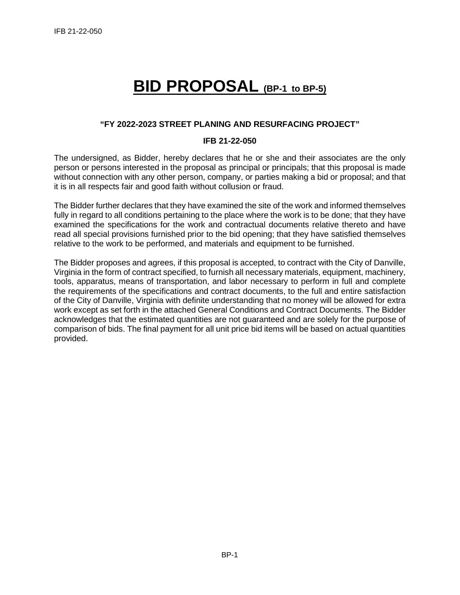## **BID PROPOSAL (BP-1 to BP-5)**

#### **"FY 2022-2023 STREET PLANING AND RESURFACING PROJECT"**

#### **IFB 21-22-050**

The undersigned, as Bidder, hereby declares that he or she and their associates are the only person or persons interested in the proposal as principal or principals; that this proposal is made without connection with any other person, company, or parties making a bid or proposal; and that it is in all respects fair and good faith without collusion or fraud.

The Bidder further declares that they have examined the site of the work and informed themselves fully in regard to all conditions pertaining to the place where the work is to be done; that they have examined the specifications for the work and contractual documents relative thereto and have read all special provisions furnished prior to the bid opening; that they have satisfied themselves relative to the work to be performed, and materials and equipment to be furnished.

The Bidder proposes and agrees, if this proposal is accepted, to contract with the City of Danville, Virginia in the form of contract specified, to furnish all necessary materials, equipment, machinery, tools, apparatus, means of transportation, and labor necessary to perform in full and complete the requirements of the specifications and contract documents, to the full and entire satisfaction of the City of Danville, Virginia with definite understanding that no money will be allowed for extra work except as set forth in the attached General Conditions and Contract Documents. The Bidder acknowledges that the estimated quantities are not guaranteed and are solely for the purpose of comparison of bids. The final payment for all unit price bid items will be based on actual quantities provided.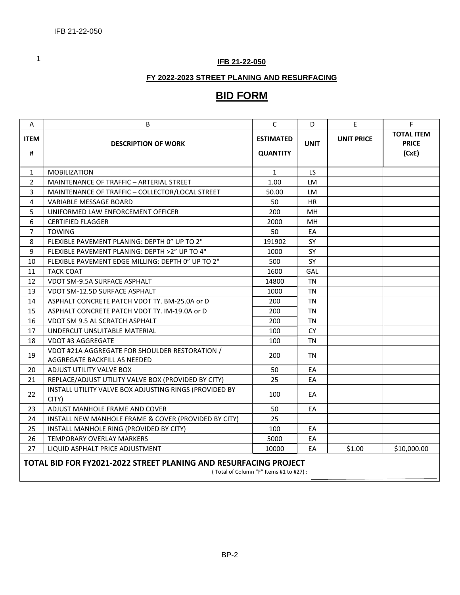#### **IFB 21-22-050**

#### **FY 2022-2023 STREET PLANING AND RESURFACING**

## **BID FORM**

| A              | B                                                                              | $\mathsf{C}$     | D           | E                 | F                                 |
|----------------|--------------------------------------------------------------------------------|------------------|-------------|-------------------|-----------------------------------|
| <b>ITEM</b>    | <b>DESCRIPTION OF WORK</b>                                                     | <b>ESTIMATED</b> | <b>UNIT</b> | <b>UNIT PRICE</b> | <b>TOTAL ITEM</b><br><b>PRICE</b> |
| #              |                                                                                | <b>QUANTITY</b>  |             |                   | (CxE)                             |
| $\mathbf{1}$   | <b>MOBILIZATION</b>                                                            | $\mathbf{1}$     | LS.         |                   |                                   |
| $\overline{2}$ | MAINTENANCE OF TRAFFIC - ARTERIAL STREET                                       | 1.00             | LM          |                   |                                   |
| 3              | MAINTENANCE OF TRAFFIC - COLLECTOR/LOCAL STREET                                | 50.00            | <b>LM</b>   |                   |                                   |
| 4              | <b>VARIABLE MESSAGE BOARD</b>                                                  | 50               | <b>HR</b>   |                   |                                   |
| 5              | UNIFORMED LAW ENFORCEMENT OFFICER                                              | 200              | <b>MH</b>   |                   |                                   |
| 6              | <b>CERTIFIED FLAGGER</b>                                                       | 2000             | MH          |                   |                                   |
| $\overline{7}$ | <b>TOWING</b>                                                                  | 50               | EA          |                   |                                   |
| 8              | FLEXIBLE PAVEMENT PLANING: DEPTH 0" UP TO 2"                                   | 191902           | SY          |                   |                                   |
| 9              | FLEXIBLE PAVEMENT PLANING: DEPTH >2" UP TO 4"                                  | 1000             | SY          |                   |                                   |
| 10             | FLEXIBLE PAVEMENT EDGE MILLING: DEPTH 0" UP TO 2"                              | 500              | SY          |                   |                                   |
| 11             | <b>TACK COAT</b>                                                               | 1600             | GAL         |                   |                                   |
| 12             | <b>VDOT SM-9.5A SURFACE ASPHALT</b>                                            | 14800            | <b>TN</b>   |                   |                                   |
| 13             | VDOT SM-12.5D SURFACE ASPHALT                                                  | 1000             | <b>TN</b>   |                   |                                   |
| 14             | ASPHALT CONCRETE PATCH VDOT TY, BM-25.0A or D                                  | 200              | TN          |                   |                                   |
| 15             | ASPHALT CONCRETE PATCH VDOT TY. IM-19.0A or D                                  | 200              | <b>TN</b>   |                   |                                   |
| 16             | VDOT SM 9.5 AL SCRATCH ASPHALT                                                 | 200              | <b>TN</b>   |                   |                                   |
| 17             | UNDERCUT UNSUITABLE MATERIAL                                                   | 100              | <b>CY</b>   |                   |                                   |
| 18             | <b>VDOT #3 AGGREGATE</b>                                                       | 100              | <b>TN</b>   |                   |                                   |
| 19             | VDOT #21A AGGREGATE FOR SHOULDER RESTORATION /<br>AGGREGATE BACKFILL AS NEEDED | 200              | TN          |                   |                                   |
| 20             | ADJUST UTILITY VALVE BOX                                                       | 50               | EA          |                   |                                   |
| 21             | REPLACE/ADJUST UTILITY VALVE BOX (PROVIDED BY CITY)                            | 25               | EA          |                   |                                   |
| 22             | INSTALL UTILITY VALVE BOX ADJUSTING RINGS (PROVIDED BY<br>CITY)                | 100              | EA          |                   |                                   |
| 23             | ADJUST MANHOLE FRAME AND COVER                                                 | 50               | EA          |                   |                                   |
| 24             | INSTALL NEW MANHOLE FRAME & COVER (PROVIDED BY CITY)                           | 25               |             |                   |                                   |
| 25             | INSTALL MANHOLE RING (PROVIDED BY CITY)                                        | 100              | EA          |                   |                                   |
| 26             | <b>TEMPORARY OVERLAY MARKERS</b>                                               | 5000             | EA          |                   |                                   |
| 27             | LIQUID ASPHALT PRICE ADJUSTMENT                                                | 10000            | EA          | \$1.00            | \$10,000.00                       |
|                | TOTAL DID FOD FV3034 3033 CTDEFT DI ANING AND DECLIDEACING DDOJECT             |                  |             |                   |                                   |

#### **TOTAL BID FOR FY2021-2022 STREET PLANING AND RESURFACING PROJECT**

( Total of Column "F" Items #1 to #27) :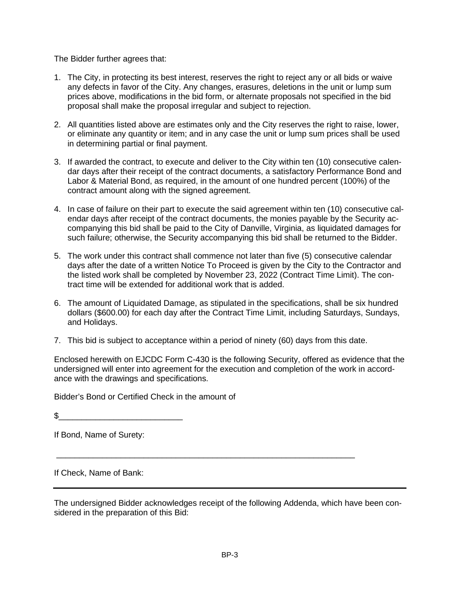The Bidder further agrees that:

- 1. The City, in protecting its best interest, reserves the right to reject any or all bids or waive any defects in favor of the City. Any changes, erasures, deletions in the unit or lump sum prices above, modifications in the bid form, or alternate proposals not specified in the bid proposal shall make the proposal irregular and subject to rejection.
- 2. All quantities listed above are estimates only and the City reserves the right to raise, lower, or eliminate any quantity or item; and in any case the unit or lump sum prices shall be used in determining partial or final payment.
- 3. If awarded the contract, to execute and deliver to the City within ten (10) consecutive calendar days after their receipt of the contract documents, a satisfactory Performance Bond and Labor & Material Bond, as required, in the amount of one hundred percent (100%) of the contract amount along with the signed agreement.
- 4. In case of failure on their part to execute the said agreement within ten (10) consecutive calendar days after receipt of the contract documents, the monies payable by the Security accompanying this bid shall be paid to the City of Danville, Virginia, as liquidated damages for such failure; otherwise, the Security accompanying this bid shall be returned to the Bidder.
- 5. The work under this contract shall commence not later than five (5) consecutive calendar days after the date of a written Notice To Proceed is given by the City to the Contractor and the listed work shall be completed by November 23, 2022 (Contract Time Limit). The contract time will be extended for additional work that is added.
- 6. The amount of Liquidated Damage, as stipulated in the specifications, shall be six hundred dollars (\$600.00) for each day after the Contract Time Limit, including Saturdays, Sundays, and Holidays.
- 7. This bid is subject to acceptance within a period of ninety (60) days from this date.

\_\_\_\_\_\_\_\_\_\_\_\_\_\_\_\_\_\_\_\_\_\_\_\_\_\_\_\_\_\_\_\_\_\_\_\_\_\_\_\_\_\_\_\_\_\_\_\_\_\_\_\_\_\_\_\_\_\_\_\_\_\_\_\_\_

Enclosed herewith on EJCDC Form C-430 is the following Security, offered as evidence that the undersigned will enter into agreement for the execution and completion of the work in accordance with the drawings and specifications.

Bidder's Bond or Certified Check in the amount of

 $\mathbb S$ 

If Bond, Name of Surety:

If Check, Name of Bank:

The undersigned Bidder acknowledges receipt of the following Addenda, which have been considered in the preparation of this Bid: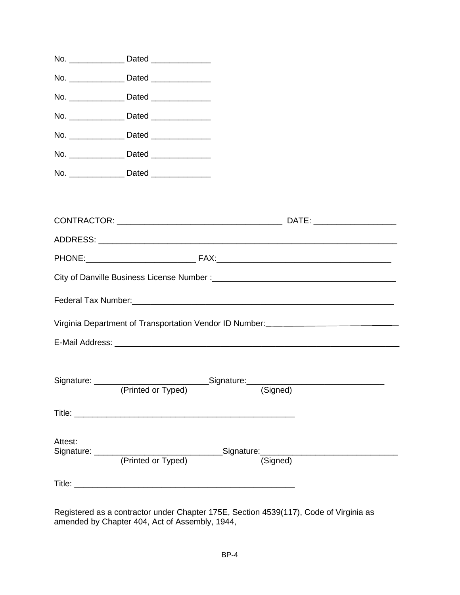|         |                                           | Virginia Department of Transportation Vendor ID Number: _________________________ |
|---------|-------------------------------------------|-----------------------------------------------------------------------------------|
|         |                                           |                                                                                   |
|         |                                           |                                                                                   |
|         |                                           | Signature: Signature: Signature: Signature: Signature: (Signed)                   |
|         |                                           |                                                                                   |
|         |                                           |                                                                                   |
| Attest: |                                           |                                                                                   |
|         | _________Signature:__________<br>(Signed) |                                                                                   |
|         |                                           |                                                                                   |

Registered as a contractor under Chapter 175E, Section 4539(117), Code of Virginia as amended by Chapter 404, Act of Assembly, 1944,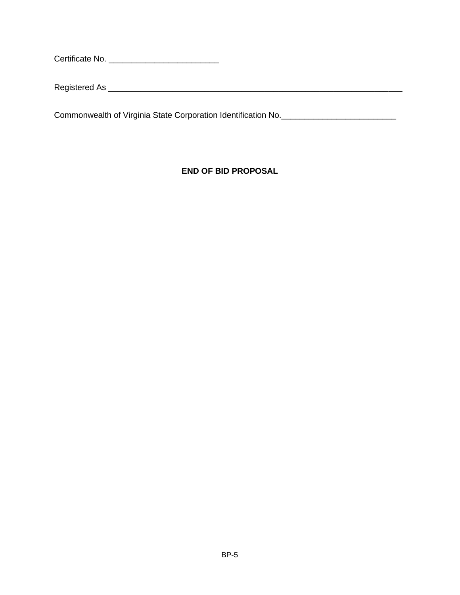Certificate No. \_\_\_\_\_\_\_\_\_\_\_\_\_\_\_\_\_\_\_\_\_\_\_\_

Registered As \_\_\_\_\_\_\_\_\_\_\_\_\_\_\_\_\_\_\_\_\_\_\_\_\_\_\_\_\_\_\_\_\_\_\_\_\_\_\_\_\_\_\_\_\_\_\_\_\_\_\_\_\_\_\_\_\_\_\_\_\_\_\_\_

Commonwealth of Virginia State Corporation Identification No. \_\_\_\_\_\_\_\_\_\_\_\_\_\_\_\_\_\_\_

### **END OF BID PROPOSAL**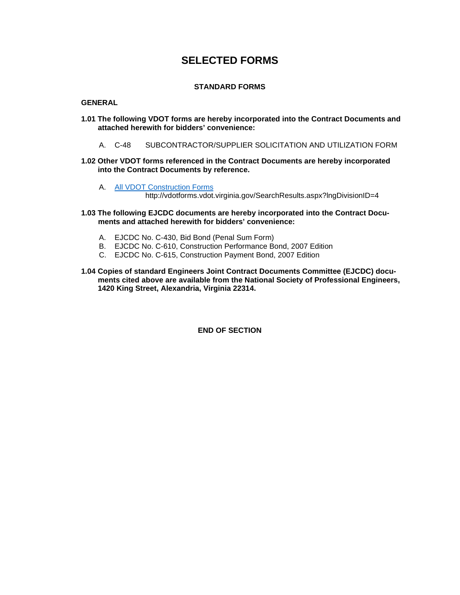## **SELECTED FORMS**

#### **STANDARD FORMS**

#### **GENERAL**

- **1.01 The following VDOT forms are hereby incorporated into the Contract Documents and attached herewith for bidders' convenience:**
	- A. C-48 SUBCONTRACTOR/SUPPLIER SOLICITATION AND UTILIZATION FORM
- **1.02 Other VDOT forms referenced in the Contract Documents are hereby incorporated into the Contract Documents by reference.**
	- A. [All VDOT Construction Forms](http://vdotforms.vdot.virginia.gov/SearchResults.aspx?lngDivisionID=4)

http://vdotforms.vdot.virginia.gov/SearchResults.aspx?lngDivisionID=4

- **1.03 The following EJCDC documents are hereby incorporated into the Contract Documents and attached herewith for bidders' convenience:**
	- A. EJCDC No. C-430, Bid Bond (Penal Sum Form)
	- B. EJCDC No. C-610, Construction Performance Bond, 2007 Edition
	- C. EJCDC No. C-615, Construction Payment Bond, 2007 Edition
- **1.04 Copies of standard Engineers Joint Contract Documents Committee (EJCDC) documents cited above are available from the National Society of Professional Engineers, 1420 King Street, Alexandria, Virginia 22314.**

**END OF SECTION**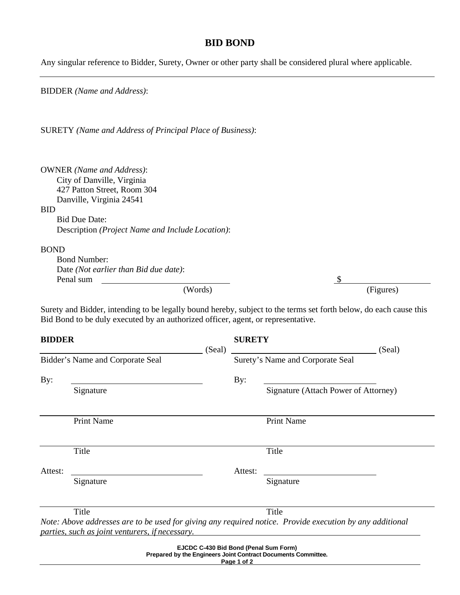### **BID BOND**

Any singular reference to Bidder, Surety, Owner or other party shall be considered plural where applicable.

BIDDER *(Name and Address)*:

SURETY *(Name and Address of Principal Place of Business)*:

| <b>OWNER</b> (Name and Address):                                                                                  |           |
|-------------------------------------------------------------------------------------------------------------------|-----------|
| City of Danville, Virginia                                                                                        |           |
| 427 Patton Street, Room 304                                                                                       |           |
| Danville, Virginia 24541                                                                                          |           |
| <b>BID</b>                                                                                                        |           |
| <b>Bid Due Date:</b>                                                                                              |           |
| Description ( <i>Project Name and Include Location</i> ):                                                         |           |
| <b>BOND</b>                                                                                                       |           |
| Bond Number:                                                                                                      |           |
| Date ( <i>Not earlier than Bid due date</i> ):                                                                    |           |
| Penal sum                                                                                                         |           |
| (Words)                                                                                                           | (Figures) |
| Surety and Bidder, intending to be legally bound hereby, subject to the terms set forth below, do each cause this |           |
| Bid Bond to be duly executed by an authorized officer, agent, or representative.                                  |           |

| <b>BIDDER</b> |                                                 |                                       | <b>SURETY</b> |                                                                                                          |
|---------------|-------------------------------------------------|---------------------------------------|---------------|----------------------------------------------------------------------------------------------------------|
|               | Bidder's Name and Corporate Seal                | (Seal)                                |               | (Seal)<br>Surety's Name and Corporate Seal                                                               |
| By:           |                                                 |                                       | By:           |                                                                                                          |
|               | Signature                                       |                                       |               | Signature (Attach Power of Attorney)                                                                     |
|               | <b>Print Name</b>                               |                                       |               | <b>Print Name</b>                                                                                        |
|               | Title                                           |                                       |               | Title                                                                                                    |
| Attest:       |                                                 |                                       | Attest:       |                                                                                                          |
|               | Signature                                       |                                       |               | Signature                                                                                                |
|               | Title                                           |                                       |               | Title                                                                                                    |
|               | parties, such as joint venturers, if necessary. |                                       |               | Note: Above addresses are to be used for giving any required notice. Provide execution by any additional |
|               |                                                 | EJCDC C-430 Bid Bond (Penal Sum Form) |               |                                                                                                          |

**Prepared by the Engineers Joint Contract Documents Committee.**

**Page 1 of 2**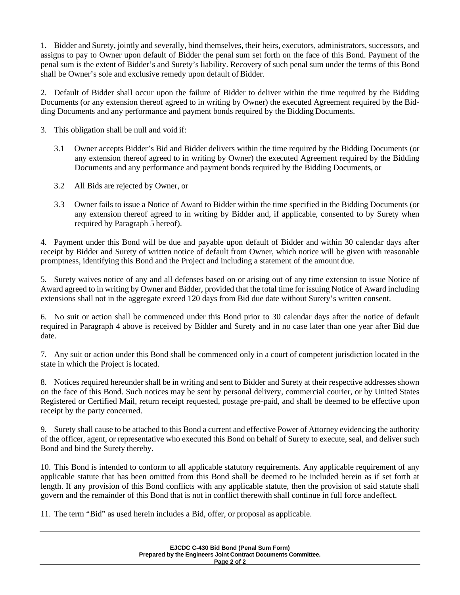1. Bidder and Surety, jointly and severally, bind themselves, their heirs, executors, administrators, successors, and assigns to pay to Owner upon default of Bidder the penal sum set forth on the face of this Bond. Payment of the penal sum is the extent of Bidder's and Surety's liability. Recovery of such penal sum under the terms of this Bond shall be Owner's sole and exclusive remedy upon default of Bidder.

2. Default of Bidder shall occur upon the failure of Bidder to deliver within the time required by the Bidding Documents (or any extension thereof agreed to in writing by Owner) the executed Agreement required by the Bidding Documents and any performance and payment bonds required by the Bidding Documents.

- 3. This obligation shall be null and void if:
	- 3.1 Owner accepts Bidder's Bid and Bidder delivers within the time required by the Bidding Documents (or any extension thereof agreed to in writing by Owner) the executed Agreement required by the Bidding Documents and any performance and payment bonds required by the Bidding Documents, or
	- 3.2 All Bids are rejected by Owner, or
	- 3.3 Owner fails to issue a Notice of Award to Bidder within the time specified in the Bidding Documents (or any extension thereof agreed to in writing by Bidder and, if applicable, consented to by Surety when required by Paragraph 5 hereof).

4. Payment under this Bond will be due and payable upon default of Bidder and within 30 calendar days after receipt by Bidder and Surety of written notice of default from Owner, which notice will be given with reasonable promptness, identifying this Bond and the Project and including a statement of the amount due.

5. Surety waives notice of any and all defenses based on or arising out of any time extension to issue Notice of Award agreed to in writing by Owner and Bidder, provided that the total time for issuing Notice of Award including extensions shall not in the aggregate exceed 120 days from Bid due date without Surety's written consent.

6. No suit or action shall be commenced under this Bond prior to 30 calendar days after the notice of default required in Paragraph 4 above is received by Bidder and Surety and in no case later than one year after Bid due date.

7. Any suit or action under this Bond shall be commenced only in a court of competent jurisdiction located in the state in which the Project is located.

8. Notices required hereunder shall be in writing and sent to Bidder and Surety at their respective addresses shown on the face of this Bond. Such notices may be sent by personal delivery, commercial courier, or by United States Registered or Certified Mail, return receipt requested, postage pre-paid, and shall be deemed to be effective upon receipt by the party concerned.

9. Surety shall cause to be attached to this Bond a current and effective Power of Attorney evidencing the authority of the officer, agent, or representative who executed this Bond on behalf of Surety to execute, seal, and deliver such Bond and bind the Surety thereby.

10. This Bond is intended to conform to all applicable statutory requirements. Any applicable requirement of any applicable statute that has been omitted from this Bond shall be deemed to be included herein as if set forth at length. If any provision of this Bond conflicts with any applicable statute, then the provision of said statute shall govern and the remainder of this Bond that is not in conflict therewith shall continue in full force andeffect.

11. The term "Bid" as used herein includes a Bid, offer, or proposal as applicable.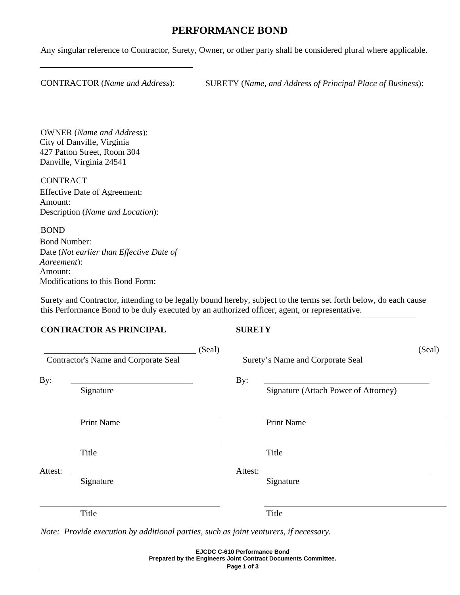### **PERFORMANCE BOND**

Any singular reference to Contractor, Surety, Owner, or other party shall be considered plural where applicable.

CONTRACTOR (*Name and Address*): SURETY (*Name, and Address of Principal Place of Business*):

OWNER (*Name and Address*): City of Danville, Virginia 427 Patton Street, Room 304 Danville, Virginia 24541

CONTRACT Effective Date of Agreement: Amount: Description (*Name and Location*):

BOND

Bond Number: Date (*Not earlier than Effective Date of Agreement*): Amount: Modifications to this Bond Form:

Surety and Contractor, intending to be legally bound hereby, subject to the terms set forth below, do each cause this Performance Bond to be duly executed by an authorized officer, agent, or representative.

#### $S \overline{U}$ **RETY**

|         | Contractor's Name and Corporate Seal | (Seal) |         | Surety's Name and Corporate Seal     | (Seal) |
|---------|--------------------------------------|--------|---------|--------------------------------------|--------|
| By:     | Signature                            |        | By:     | Signature (Attach Power of Attorney) |        |
|         | <b>Print Name</b>                    |        |         | <b>Print Name</b>                    |        |
|         | Title                                |        |         | Title                                |        |
| Attest: | Signature                            |        | Attest: | Signature                            |        |
|         | Title                                |        |         | Title                                |        |

*Note: Provide execution by additional parties, such as joint venturers, if necessary.*

**EJCDC C-610 Performance Bond Prepared by the Engineers Joint Contract Documents Committee. Page 1 of 3**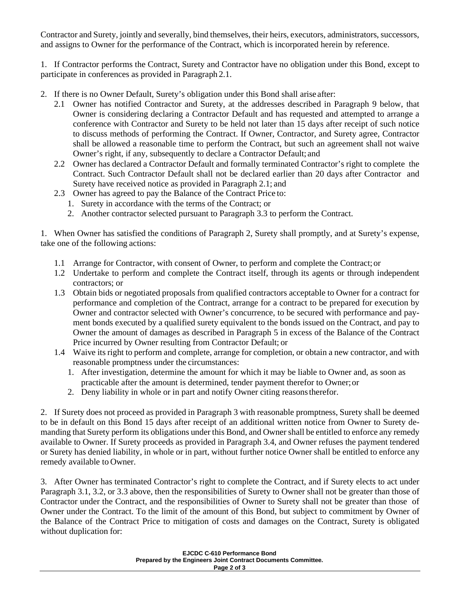Contractor and Surety, jointly and severally, bind themselves, their heirs, executors, administrators, successors, and assigns to Owner for the performance of the Contract, which is incorporated herein by reference.

1. If Contractor performs the Contract, Surety and Contractor have no obligation under this Bond, except to participate in conferences as provided in Paragraph 2.1.

- 2. If there is no Owner Default, Surety's obligation under this Bond shall arise after:
	- 2.1 Owner has notified Contractor and Surety, at the addresses described in Paragraph 9 below, that Owner is considering declaring a Contractor Default and has requested and attempted to arrange a conference with Contractor and Surety to be held not later than 15 days after receipt of such notice to discuss methods of performing the Contract. If Owner, Contractor, and Surety agree, Contractor shall be allowed a reasonable time to perform the Contract, but such an agreement shall not waive Owner's right, if any, subsequently to declare a Contractor Default; and
	- 2.2 Owner has declared a Contractor Default and formally terminated Contractor's right to complete the Contract. Such Contractor Default shall not be declared earlier than 20 days after Contractor and Surety have received notice as provided in Paragraph 2.1; and
	- 2.3 Owner has agreed to pay the Balance of the Contract Price to:
		- 1. Surety in accordance with the terms of the Contract; or
		- 2. Another contractor selected pursuant to Paragraph 3.3 to perform the Contract.

1. When Owner has satisfied the conditions of Paragraph 2, Surety shall promptly, and at Surety's expense, take one of the following actions:

- 1.1 Arrange for Contractor, with consent of Owner, to perform and complete the Contract;or
- 1.2 Undertake to perform and complete the Contract itself, through its agents or through independent contractors; or
- 1.3 Obtain bids or negotiated proposals from qualified contractors acceptable to Owner for a contract for performance and completion of the Contract, arrange for a contract to be prepared for execution by Owner and contractor selected with Owner's concurrence, to be secured with performance and payment bonds executed by a qualified surety equivalent to the bonds issued on the Contract, and pay to Owner the amount of damages as described in Paragraph 5 in excess of the Balance of the Contract Price incurred by Owner resulting from Contractor Default; or
- 1.4 Waive its right to perform and complete, arrange for completion, or obtain a new contractor, and with reasonable promptness under the circumstances:
	- 1. After investigation, determine the amount for which it may be liable to Owner and, as soon as practicable after the amount is determined, tender payment therefor to Owner;or
	- 2. Deny liability in whole or in part and notify Owner citing reasonstherefor.

2. If Surety does not proceed as provided in Paragraph 3 with reasonable promptness, Surety shall be deemed to be in default on this Bond 15 days after receipt of an additional written notice from Owner to Surety demanding that Surety perform its obligations under this Bond, and Owner shall be entitled to enforce any remedy available to Owner. If Surety proceeds as provided in Paragraph 3.4, and Owner refuses the payment tendered or Surety has denied liability, in whole or in part, without further notice Owner shall be entitled to enforce any remedy available to Owner.

3. After Owner has terminated Contractor's right to complete the Contract, and if Surety elects to act under Paragraph 3.1, 3.2, or 3.3 above, then the responsibilities of Surety to Owner shall not be greater than those of Contractor under the Contract, and the responsibilities of Owner to Surety shall not be greater than those of Owner under the Contract. To the limit of the amount of this Bond, but subject to commitment by Owner of the Balance of the Contract Price to mitigation of costs and damages on the Contract, Surety is obligated without duplication for:

> **EJCDC C-610 Performance Bond Prepared by the Engineers Joint Contract Documents Committee. Page 2 of 3**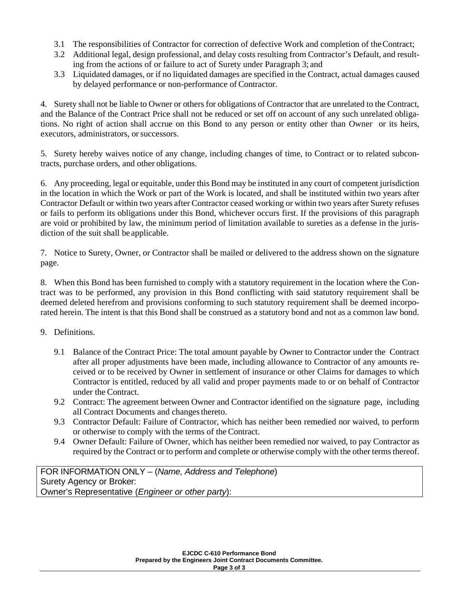- 3.1 The responsibilities of Contractor for correction of defective Work and completion of theContract;
- 3.2 Additional legal, design professional, and delay costs resulting from Contractor's Default, and resulting from the actions of or failure to act of Surety under Paragraph 3; and
- 3.3 Liquidated damages, or if no liquidated damages are specified in the Contract, actual damages caused by delayed performance or non-performance of Contractor.

4. Surety shall not be liable to Owner or others for obligations of Contractor that are unrelated to the Contract, and the Balance of the Contract Price shall not be reduced or set off on account of any such unrelated obligations. No right of action shall accrue on this Bond to any person or entity other than Owner or its heirs, executors, administrators, or successors.

5. Surety hereby waives notice of any change, including changes of time, to Contract or to related subcontracts, purchase orders, and other obligations.

6. Any proceeding, legal or equitable, under this Bond may be instituted in any court of competent jurisdiction in the location in which the Work or part of the Work is located, and shall be instituted within two years after Contractor Default or within two years after Contractor ceased working or within two years after Surety refuses or fails to perform its obligations under this Bond, whichever occurs first. If the provisions of this paragraph are void or prohibited by law, the minimum period of limitation available to sureties as a defense in the jurisdiction of the suit shall be applicable.

7. Notice to Surety, Owner, or Contractor shall be mailed or delivered to the address shown on the signature page.

8. When this Bond has been furnished to comply with a statutory requirement in the location where the Contract was to be performed, any provision in this Bond conflicting with said statutory requirement shall be deemed deleted herefrom and provisions conforming to such statutory requirement shall be deemed incorporated herein. The intent is that this Bond shall be construed as a statutory bond and not as a common law bond.

- 9. Definitions.
	- 9.1 Balance of the Contract Price: The total amount payable by Owner to Contractor under the Contract after all proper adjustments have been made, including allowance to Contractor of any amounts received or to be received by Owner in settlement of insurance or other Claims for damages to which Contractor is entitled, reduced by all valid and proper payments made to or on behalf of Contractor under the Contract.
	- 9.2 Contract: The agreement between Owner and Contractor identified on the signature page, including all Contract Documents and changes thereto.
	- 9.3 Contractor Default: Failure of Contractor, which has neither been remedied nor waived, to perform or otherwise to comply with the terms of the Contract.
	- 9.4 Owner Default: Failure of Owner, which has neither been remedied nor waived, to pay Contractor as required by the Contract or to perform and complete or otherwise comply with the other terms thereof.

FOR INFORMATION ONLY – (*Name, Address and Telephone*) Surety Agency or Broker: Owner's Representative (*Engineer or other party*):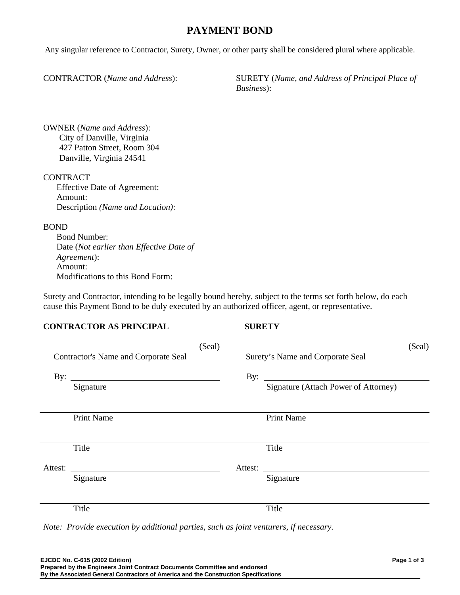## **PAYMENT BOND**

Any singular reference to Contractor, Surety, Owner, or other party shall be considered plural where applicable.

CONTRACTOR (*Name and Address*): SURETY (*Name, and Address of Principal Place of Business*):

OWNER (*Name and Address*): City of Danville, Virginia 427 Patton Street, Room 304 Danville, Virginia 24541

CONTRACT Effective Date of Agreement: Amount: Description *(Name and Location)*:

BOND

Bond Number: Date (*Not earlier than Effective Date of Agreement*): Amount: Modifications to this Bond Form:

Surety and Contractor, intending to be legally bound hereby, subject to the terms set forth below, do each cause this Payment Bond to be duly executed by an authorized officer, agent, or representative.

#### **CONTRACTOR AS PRINCIPAL SURETY**

|         |                                                                                                                                   | (Seal) |         |                                                                                                                                                                                                                                                   | (Seal) |
|---------|-----------------------------------------------------------------------------------------------------------------------------------|--------|---------|---------------------------------------------------------------------------------------------------------------------------------------------------------------------------------------------------------------------------------------------------|--------|
|         | Contractor's Name and Corporate Seal                                                                                              |        |         | Surety's Name and Corporate Seal                                                                                                                                                                                                                  |        |
| By:     | <u> Alexandria de la contrada de la contrada de la contrada de la contrada de la contrada de la contrada de la c</u><br>Signature |        |         | By: $\overline{\phantom{a}}$<br>Signature (Attach Power of Attorney)                                                                                                                                                                              |        |
|         | <b>Print Name</b>                                                                                                                 |        |         | <b>Print Name</b>                                                                                                                                                                                                                                 |        |
|         | Title                                                                                                                             |        |         | Title                                                                                                                                                                                                                                             |        |
| Attest: | <u> 1980 - Johann Barbara, martxa alemaniar a</u><br>Signature                                                                    |        | Attest: | <u>and the state of the state of the state of the state of the state of the state of the state of the state of the state of the state of the state of the state of the state of the state of the state of the state of the state</u><br>Signature |        |
|         | Title                                                                                                                             |        |         | Title                                                                                                                                                                                                                                             |        |

*Note: Provide execution by additional parties, such as joint venturers, if necessary.*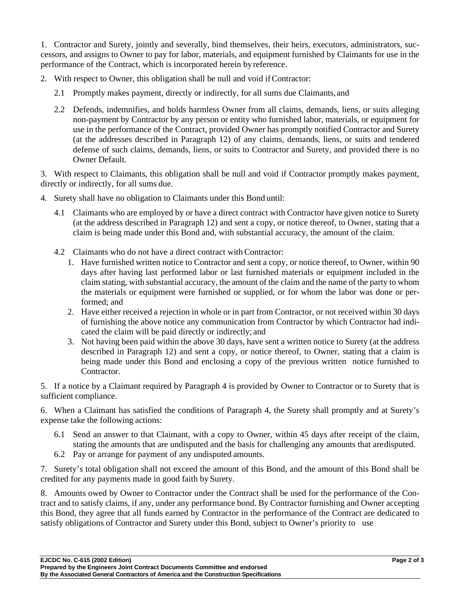1. Contractor and Surety, jointly and severally, bind themselves, their heirs, executors, administrators, successors, and assigns to Owner to pay for labor, materials, and equipment furnished by Claimants for use in the performance of the Contract, which is incorporated herein by reference.

- 2. With respect to Owner, this obligation shall be null and void ifContractor:
	- 2.1 Promptly makes payment, directly or indirectly, for all sums due Claimants, and
	- 2.2 Defends, indemnifies, and holds harmless Owner from all claims, demands, liens, or suits alleging non-payment by Contractor by any person or entity who furnished labor, materials, or equipment for use in the performance of the Contract, provided Owner has promptly notified Contractor and Surety (at the addresses described in Paragraph 12) of any claims, demands, liens, or suits and tendered defense of such claims, demands, liens, or suits to Contractor and Surety, and provided there is no Owner Default.

3. With respect to Claimants, this obligation shall be null and void if Contractor promptly makes payment, directly or indirectly, for all sums due.

- 4. Surety shall have no obligation to Claimants under this Bond until:
	- 4.1 Claimants who are employed by or have a direct contract with Contractor have given notice to Surety (at the address described in Paragraph 12) and sent a copy, or notice thereof, to Owner, stating that a claim is being made under this Bond and, with substantial accuracy, the amount of the claim.
	- 4.2 Claimants who do not have a direct contract with Contractor:
		- 1. Have furnished written notice to Contractor and sent a copy, or notice thereof, to Owner, within 90 days after having last performed labor or last furnished materials or equipment included in the claim stating, with substantial accuracy, the amount of the claim and the name of the party to whom the materials or equipment were furnished or supplied, or for whom the labor was done or performed; and
		- 2. Have either received a rejection in whole or in part from Contractor, or not received within 30 days of furnishing the above notice any communication from Contractor by which Contractor had indicated the claim will be paid directly or indirectly; and
		- 3. Not having been paid within the above 30 days, have sent a written notice to Surety (at the address described in Paragraph 12) and sent a copy, or notice thereof, to Owner, stating that a claim is being made under this Bond and enclosing a copy of the previous written notice furnished to Contractor.

5. If a notice by a Claimant required by Paragraph 4 is provided by Owner to Contractor or to Surety that is sufficient compliance.

6. When a Claimant has satisfied the conditions of Paragraph 4, the Surety shall promptly and at Surety's expense take the following actions:

- 6.1 Send an answer to that Claimant, with a copy to Owner, within 45 days after receipt of the claim, stating the amounts that are undisputed and the basis for challenging any amounts that aredisputed.
- 6.2 Pay or arrange for payment of any undisputed amounts.

7. Surety's total obligation shall not exceed the amount of this Bond, and the amount of this Bond shall be credited for any payments made in good faith by Surety.

8. Amounts owed by Owner to Contractor under the Contract shall be used for the performance of the Contract and to satisfy claims, if any, under any performance bond. By Contractor furnishing and Owner accepting this Bond, they agree that all funds earned by Contractor in the performance of the Contract are dedicated to satisfy obligations of Contractor and Surety under this Bond, subject to Owner's priority to use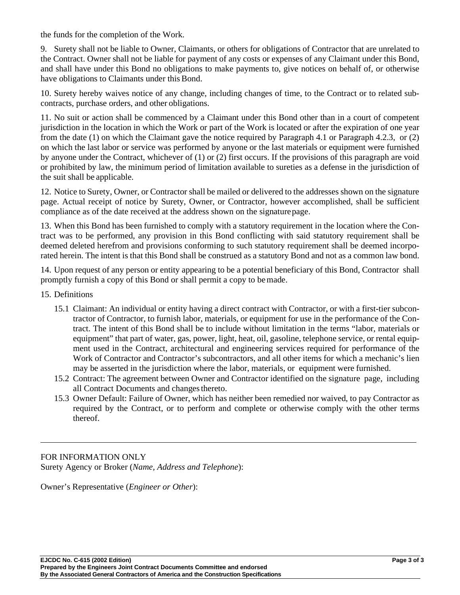the funds for the completion of the Work.

9. Surety shall not be liable to Owner, Claimants, or others for obligations of Contractor that are unrelated to the Contract. Owner shall not be liable for payment of any costs or expenses of any Claimant under this Bond, and shall have under this Bond no obligations to make payments to, give notices on behalf of, or otherwise have obligations to Claimants under this Bond.

10. Surety hereby waives notice of any change, including changes of time, to the Contract or to related subcontracts, purchase orders, and other obligations.

11. No suit or action shall be commenced by a Claimant under this Bond other than in a court of competent jurisdiction in the location in which the Work or part of the Work is located or after the expiration of one year from the date (1) on which the Claimant gave the notice required by Paragraph 4.1 or Paragraph 4.2.3, or (2) on which the last labor or service was performed by anyone or the last materials or equipment were furnished by anyone under the Contract, whichever of (1) or (2) first occurs. If the provisions of this paragraph are void or prohibited by law, the minimum period of limitation available to sureties as a defense in the jurisdiction of the suit shall be applicable.

12. Notice to Surety, Owner, or Contractor shall be mailed or delivered to the addresses shown on the signature page. Actual receipt of notice by Surety, Owner, or Contractor, however accomplished, shall be sufficient compliance as of the date received at the address shown on the signaturepage.

13. When this Bond has been furnished to comply with a statutory requirement in the location where the Contract was to be performed, any provision in this Bond conflicting with said statutory requirement shall be deemed deleted herefrom and provisions conforming to such statutory requirement shall be deemed incorporated herein. The intent is that this Bond shall be construed as a statutory Bond and not as a common law bond.

14. Upon request of any person or entity appearing to be a potential beneficiary of this Bond, Contractor shall promptly furnish a copy of this Bond or shall permit a copy to bemade.

- 15. Definitions
	- 15.1 Claimant: An individual or entity having a direct contract with Contractor, or with a first-tier subcontractor of Contractor, to furnish labor, materials, or equipment for use in the performance of the Contract. The intent of this Bond shall be to include without limitation in the terms "labor, materials or equipment" that part of water, gas, power, light, heat, oil, gasoline, telephone service, or rental equipment used in the Contract, architectural and engineering services required for performance of the Work of Contractor and Contractor's subcontractors, and all other items for which a mechanic's lien may be asserted in the jurisdiction where the labor, materials, or equipment were furnished.
	- 15.2 Contract: The agreement between Owner and Contractor identified on the signature page, including all Contract Documents and changes thereto.
	- 15.3 Owner Default: Failure of Owner, which has neither been remedied nor waived, to pay Contractor as required by the Contract, or to perform and complete or otherwise comply with the other terms thereof.

#### FOR INFORMATION ONLY

Surety Agency or Broker (*Name, Address and Telephone*):

Owner's Representative (*Engineer or Other*):